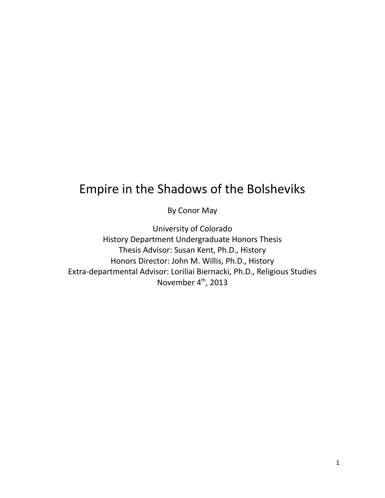# Empire in the Shadows of the Bolsheviks

By Conor May

University of Colorado History Department Undergraduate Honors Thesis Thesis Advisor: Susan Kent, Ph.D., History Honors Director: John M. Willis, Ph.D., History Extra-departmental Advisor: Loriliai Biernacki, Ph.D., Religious Studies November 4<sup>th</sup>, 2013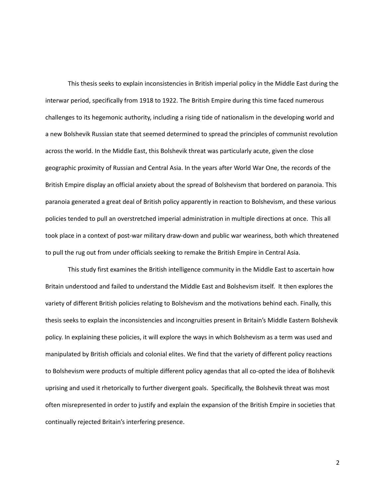This thesis seeks to explain inconsistencies in British imperial policy in the Middle East during the interwar period, specifically from 1918 to 1922. The British Empire during this time faced numerous challenges to its hegemonic authority, including a rising tide of nationalism in the developing world and a new Bolshevik Russian state that seemed determined to spread the principles of communist revolution across the world. In the Middle East, this Bolshevik threat was particularly acute, given the close geographic proximity of Russian and Central Asia. In the years after World War One, the records of the British Empire display an official anxiety about the spread of Bolshevism that bordered on paranoia. This paranoia generated a great deal of British policy apparently in reaction to Bolshevism, and these various policies tended to pull an overstretched imperial administration in multiple directions at once. This all took place in a context of post-war military draw-down and public war weariness, both which threatened to pull the rug out from under officials seeking to remake the British Empire in Central Asia.

This study first examines the British intelligence community in the Middle East to ascertain how Britain understood and failed to understand the Middle East and Bolshevism itself. It then explores the variety of different British policies relating to Bolshevism and the motivations behind each. Finally, this thesis seeks to explain the inconsistencies and incongruities present in Britain's Middle Eastern Bolshevik policy. In explaining these policies, it will explore the ways in which Bolshevism as a term was used and manipulated by British officials and colonial elites. We find that the variety of different policy reactions to Bolshevism were products of multiple different policy agendas that all co-opted the idea of Bolshevik uprising and used it rhetorically to further divergent goals. Specifically, the Bolshevik threat was most often misrepresented in order to justify and explain the expansion of the British Empire in societies that continually rejected Britain's interfering presence.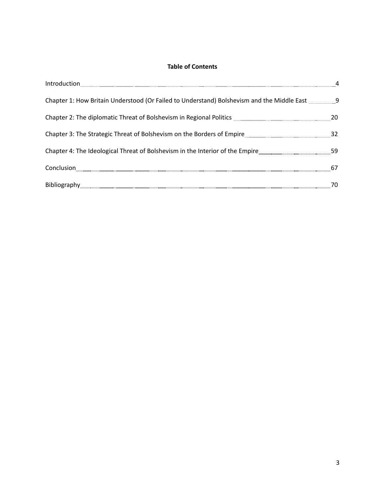# **Table of Contents**

| Introduction                                                                  |     |
|-------------------------------------------------------------------------------|-----|
|                                                                               |     |
|                                                                               | -20 |
|                                                                               | -32 |
| Chapter 4: The Ideological Threat of Bolshevism in the Interior of the Empire |     |
| Conclusion                                                                    |     |
|                                                                               |     |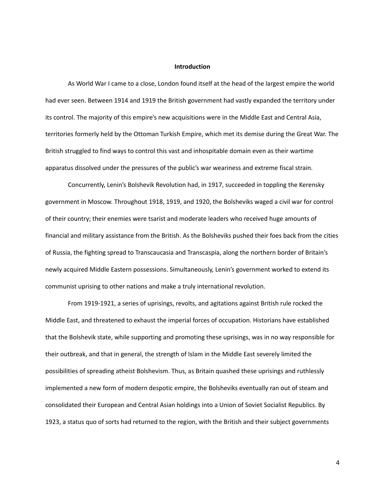# **Introduction**

As World War I came to a close, London found itself at the head of the largest empire the world had ever seen. Between 1914 and 1919 the British government had vastly expanded the territory under its control. The majority of this empire's new acquisitions were in the Middle East and Central Asia, territories formerly held by the Ottoman Turkish Empire, which met its demise during the Great War. The British struggled to find ways to control this vast and inhospitable domain even as their wartime apparatus dissolved under the pressures of the public's war weariness and extreme fiscal strain.

Concurrently, Lenin's Bolshevik Revolution had, in 1917, succeeded in toppling the Kerensky government in Moscow. Throughout 1918, 1919, and 1920, the Bolsheviks waged a civil war for control of their country; their enemies were tsarist and moderate leaders who received huge amounts of financial and military assistance from the British. As the Bolsheviks pushed their foes back from the cities of Russia, the fighting spread to Transcaucasia and Transcaspia, along the northern border of Britain's newly acquired Middle Eastern possessions. Simultaneously, Lenin's government worked to extend its communist uprising to other nations and make a truly international revolution.

From 1919-1921, a series of uprisings, revolts, and agitations against British rule rocked the Middle East, and threatened to exhaust the imperial forces of occupation. Historians have established that the Bolshevik state, while supporting and promoting these uprisings, was in no way responsible for their outbreak, and that in general, the strength of Islam in the Middle East severely limited the possibilities of spreading atheist Bolshevism. Thus, as Britain quashed these uprisings and ruthlessly implemented a new form of modern despotic empire, the Bolsheviks eventually ran out of steam and consolidated their European and Central Asian holdings into a Union of Soviet Socialist Republics. By 1923, a status quo of sorts had returned to the region, with the British and their subject governments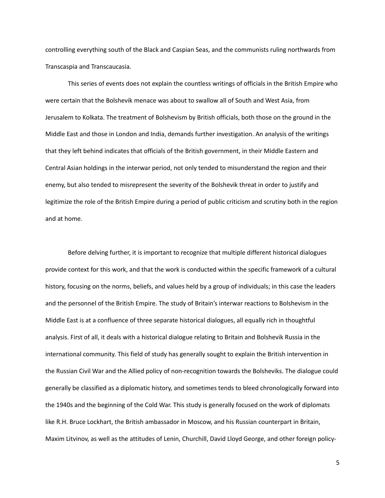controlling everything south of the Black and Caspian Seas, and the communists ruling northwards from Transcaspia and Transcaucasia.

This series of events does not explain the countless writings of officials in the British Empire who were certain that the Bolshevik menace was about to swallow all of South and West Asia, from Jerusalem to Kolkata. The treatment of Bolshevism by British officials, both those on the ground in the Middle East and those in London and India, demands further investigation. An analysis of the writings that they left behind indicates that officials of the British government, in their Middle Eastern and Central Asian holdings in the interwar period, not only tended to misunderstand the region and their enemy, but also tended to misrepresent the severity of the Bolshevik threat in order to justify and legitimize the role of the British Empire during a period of public criticism and scrutiny both in the region and at home.

Before delving further, it is important to recognize that multiple different historical dialogues provide context for this work, and that the work is conducted within the specific framework of a cultural history, focusing on the norms, beliefs, and values held by a group of individuals; in this case the leaders and the personnel of the British Empire. The study of Britain's interwar reactions to Bolshevism in the Middle East is at a confluence of three separate historical dialogues, all equally rich in thoughtful analysis. First of all, it deals with a historical dialogue relating to Britain and Bolshevik Russia in the international community. This field of study has generally sought to explain the British intervention in the Russian Civil War and the Allied policy of non-recognition towards the Bolsheviks. The dialogue could generally be classified as a diplomatic history, and sometimes tends to bleed chronologically forward into the 1940s and the beginning of the Cold War. This study is generally focused on the work of diplomats like R.H. Bruce Lockhart, the British ambassador in Moscow, and his Russian counterpart in Britain, Maxim Litvinov, as well as the attitudes of Lenin, Churchill, David Lloyd George, and other foreign policy-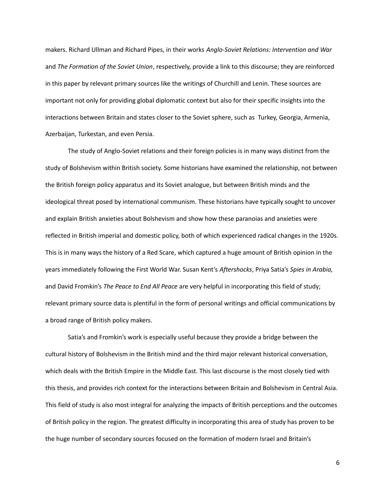makers. Richard Ullman and Richard Pipes, in their works *Anglo-Soviet Relations: Intervention and War*  and *The Formation of the Soviet Union*, respectively, provide a link to this discourse; they are reinforced in this paper by relevant primary sources like the writings of Churchill and Lenin. These sources are important not only for providing global diplomatic context but also for their specific insights into the interactions between Britain and states closer to the Soviet sphere, such as Turkey, Georgia, Armenia, Azerbaijan, Turkestan, and even Persia.

The study of Anglo-Soviet relations and their foreign policies is in many ways distinct from the study of Bolshevism within British society. Some historians have examined the relationship, not between the British foreign policy apparatus and its Soviet analogue, but between British minds and the ideological threat posed by international communism. These historians have typically sought to uncover and explain British anxieties about Bolshevism and show how these paranoias and anxieties were reflected in British imperial and domestic policy, both of which experienced radical changes in the 1920s. This is in many ways the history of a Red Scare, which captured a huge amount of British opinion in the years immediately following the First World War. Susan Kent's *Aftershocks*, Priya Satia's *Spies in Arabia,*  and David Fromkin's *The Peace to End All Peace* are very helpful in incorporating this field of study; relevant primary source data is plentiful in the form of personal writings and official communications by a broad range of British policy makers.

Satia's and Fromkin's work is especially useful because they provide a bridge between the cultural history of Bolshevism in the British mind and the third major relevant historical conversation, which deals with the British Empire in the Middle East. This last discourse is the most closely tied with this thesis, and provides rich context for the interactions between Britain and Bolshevism in Central Asia. This field of study is also most integral for analyzing the impacts of British perceptions and the outcomes of British policy in the region. The greatest difficulty in incorporating this area of study has proven to be the huge number of secondary sources focused on the formation of modern Israel and Britain's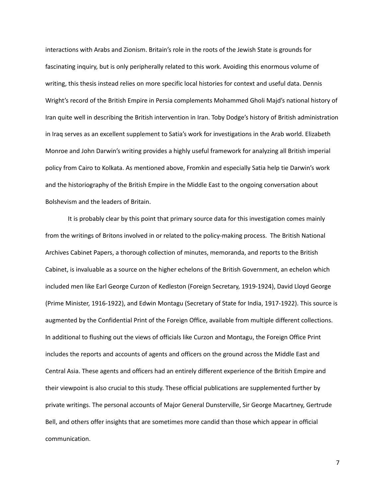interactions with Arabs and Zionism. Britain's role in the roots of the Jewish State is grounds for fascinating inquiry, but is only peripherally related to this work. Avoiding this enormous volume of writing, this thesis instead relies on more specific local histories for context and useful data. Dennis Wright's record of the British Empire in Persia complements Mohammed Gholi Majd's national history of Iran quite well in describing the British intervention in Iran. Toby Dodge's history of British administration in Iraq serves as an excellent supplement to Satia's work for investigations in the Arab world. Elizabeth Monroe and John Darwin's writing provides a highly useful framework for analyzing all British imperial policy from Cairo to Kolkata. As mentioned above, Fromkin and especially Satia help tie Darwin's work and the historiography of the British Empire in the Middle East to the ongoing conversation about Bolshevism and the leaders of Britain.

It is probably clear by this point that primary source data for this investigation comes mainly from the writings of Britons involved in or related to the policy-making process. The British National Archives Cabinet Papers, a thorough collection of minutes, memoranda, and reports to the British Cabinet, is invaluable as a source on the higher echelons of the British Government, an echelon which included men like Earl George Curzon of Kedleston (Foreign Secretary, 1919-1924), David Lloyd George (Prime Minister, 1916-1922), and Edwin Montagu (Secretary of State for India, 1917-1922). This source is augmented by the Confidential Print of the Foreign Office, available from multiple different collections. In additional to flushing out the views of officials like Curzon and Montagu, the Foreign Office Print includes the reports and accounts of agents and officers on the ground across the Middle East and Central Asia. These agents and officers had an entirely different experience of the British Empire and their viewpoint is also crucial to this study. These official publications are supplemented further by private writings. The personal accounts of Major General Dunsterville, Sir George Macartney, Gertrude Bell, and others offer insights that are sometimes more candid than those which appear in official communication.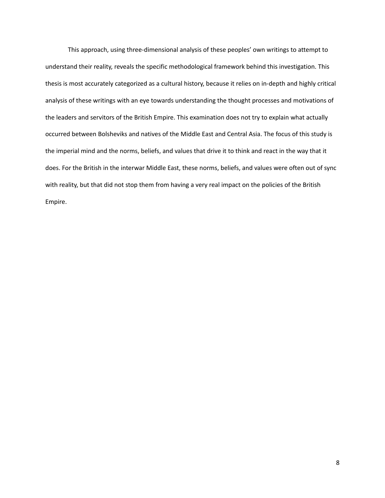This approach, using three-dimensional analysis of these peoples' own writings to attempt to understand their reality, reveals the specific methodological framework behind this investigation. This thesis is most accurately categorized as a cultural history, because it relies on in-depth and highly critical analysis of these writings with an eye towards understanding the thought processes and motivations of the leaders and servitors of the British Empire. This examination does not try to explain what actually occurred between Bolsheviks and natives of the Middle East and Central Asia. The focus of this study is the imperial mind and the norms, beliefs, and values that drive it to think and react in the way that it does. For the British in the interwar Middle East, these norms, beliefs, and values were often out of sync with reality, but that did not stop them from having a very real impact on the policies of the British Empire.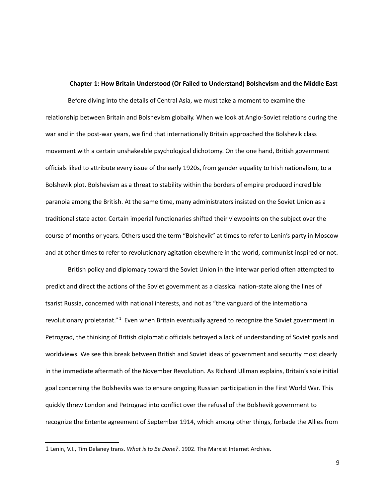## **Chapter 1: How Britain Understood (Or Failed to Understand) Bolshevism and the Middle East**

Before diving into the details of Central Asia, we must take a moment to examine the relationship between Britain and Bolshevism globally. When we look at Anglo-Soviet relations during the war and in the post-war years, we find that internationally Britain approached the Bolshevik class movement with a certain unshakeable psychological dichotomy. On the one hand, British government officials liked to attribute every issue of the early 1920s, from gender equality to Irish nationalism, to a Bolshevik plot. Bolshevism as a threat to stability within the borders of empire produced incredible paranoia among the British. At the same time, many administrators insisted on the Soviet Union as a traditional state actor. Certain imperial functionaries shifted their viewpoints on the subject over the course of months or years. Others used the term "Bolshevik" at times to refer to Lenin's party in Moscow and at other times to refer to revolutionary agitation elsewhere in the world, communist-inspired or not.

British policy and diplomacy toward the Soviet Union in the interwar period often attempted to predict and direct the actions of the Soviet government as a classical nation-state along the lines of tsarist Russia, concerned with national interests, and not as "the vanguard of the international revolutionary proletariat."<sup>[1](#page-8-0)</sup> Even when Britain eventually agreed to recognize the Soviet government in Petrograd, the thinking of British diplomatic officials betrayed a lack of understanding of Soviet goals and worldviews. We see this break between British and Soviet ideas of government and security most clearly in the immediate aftermath of the November Revolution. As Richard Ullman explains, Britain's sole initial goal concerning the Bolsheviks was to ensure ongoing Russian participation in the First World War. This quickly threw London and Petrograd into conflict over the refusal of the Bolshevik government to recognize the Entente agreement of September 1914, which among other things, forbade the Allies from

<span id="page-8-0"></span><sup>1</sup> Lenin, V.I., Tim Delaney trans. *What is to Be Done?*. 1902. The Marxist Internet Archive.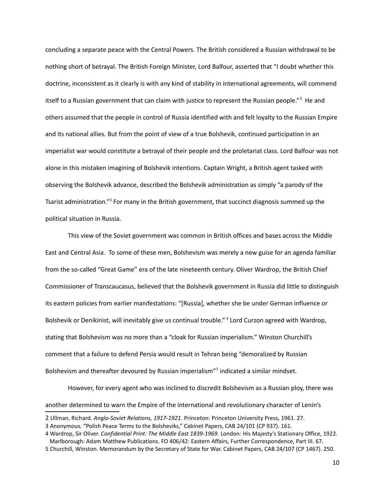concluding a separate peace with the Central Powers. The British considered a Russian withdrawal to be nothing short of betrayal. The British Foreign Minister, Lord Balfour, asserted that "I doubt whether this doctrine, inconsistent as it clearly is with any kind of stability in international agreements, will commend itself to a Russian government that can claim with justice to represent the Russian people."<sup>[2](#page-9-0)</sup> He and others assumed that the people in control of Russia identified with and felt loyalty to the Russian Empire and its national allies. But from the point of view of a true Bolshevik, continued participation in an imperialist war would constitute a betrayal of their people and the proletariat class. Lord Balfour was not alone in this mistaken imagining of Bolshevik intentions. Captain Wright, a British agent tasked with observing the Bolshevik advance, described the Bolshevik administration as simply "a parody of the Tsarist administration."<sup>[3](#page-9-1)</sup> For many in the British government, that succinct diagnosis summed up the political situation in Russia.

This view of the Soviet government was common in British offices and bases across the Middle East and Central Asia. To some of these men, Bolshevism was merely a new guise for an agenda familiar from the so-called "Great Game" era of the late nineteenth century. Oliver Wardrop, the British Chief Commissioner of Transcaucasus, believed that the Bolshevik government in Russia did little to distinguish its eastern policies from earlier manifestations: "[Russia], whether she be under German influence or Bolshevik or Denikinist, will inevitably give us continual trouble." <sup>[4](#page-9-2)</sup> Lord Curzon agreed with Wardrop, stating that Bolshevism was no more than a "cloak for Russian imperialism." Winston Churchill's comment that a failure to defend Persia would result in Tehran being "demoralized by Russian Bolshevism and thereafter devoured by Russian imperialism"<sup>[5](#page-9-3)</sup> indicated a similar mindset.

However, for every agent who was inclined to discredit Bolshevism as a Russian ploy, there was another determined to warn the Empire of the international and revolutionary character of Lenin's

<span id="page-9-0"></span><sup>2</sup> Ullman, Richard. *Anglo-Soviet Relations, 1917-1921*. Princeton: Princeton University Press, 1961. 27.

<span id="page-9-1"></span><sup>3</sup> Anonymous. "Polish Peace Terms to the Bolsheviks," Cabinet Papers, CAB 24/101 (CP 937). 161.

<span id="page-9-2"></span><sup>4</sup> Wardrop, Sir Oliver. *Confidential Print: The Middle East 1839-1969*. London: His Majesty's Stationary Office, 1922. Marlborough: Adam Matthew Publications. FO 406/42: Eastern Affairs, Further Correspondence, Part III. 67.

<span id="page-9-3"></span><sup>5</sup> Churchill, Winston. Memorandum by the Secretary of State for War. Cabinet Papers, CAB 24/107 (CP 1467). 250.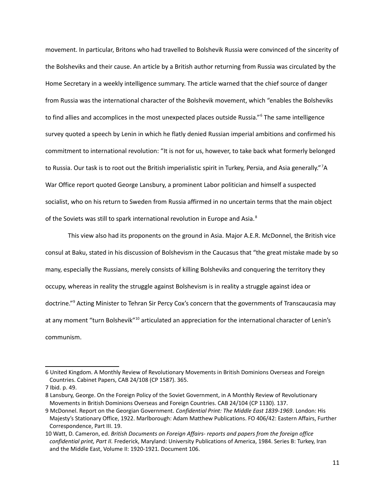movement. In particular, Britons who had travelled to Bolshevik Russia were convinced of the sincerity of the Bolsheviks and their cause. An article by a British author returning from Russia was circulated by the Home Secretary in a weekly intelligence summary. The article warned that the chief source of danger from Russia was the international character of the Bolshevik movement, which "enables the Bolsheviks to find allies and accomplices in the most unexpected places outside Russia."<sup>[6](#page-10-0)</sup> The same intelligence survey quoted a speech by Lenin in which he flatly denied Russian imperial ambitions and confirmed his commitment to international revolution: "It is not for us, however, to take back what formerly belonged to Russia. Our task is to root out the British imperialistic spirit in Turkey, Persia, and Asia generally."<sup>[7](#page-10-1)</sup>A War Office report quoted George Lansbury, a prominent Labor politician and himself a suspected socialist, who on his return to Sweden from Russia affirmed in no uncertain terms that the main object of the Soviets was still to spark international revolution in Europe and Asia.<sup>[8](#page-10-2)</sup>

This view also had its proponents on the ground in Asia. Major A.E.R. McDonnel, the British vice consul at Baku, stated in his discussion of Bolshevism in the Caucasus that "the great mistake made by so many, especially the Russians, merely consists of killing Bolsheviks and conquering the territory they occupy, whereas in reality the struggle against Bolshevism is in reality a struggle against idea or doctrine."<sup>[9](#page-10-3)</sup> Acting Minister to Tehran Sir Percy Cox's concern that the governments of Transcaucasia may at any moment "turn Bolshevik"<sup>[10](#page-10-4)</sup> articulated an appreciation for the international character of Lenin's communism.

<span id="page-10-0"></span><sup>6</sup> United Kingdom. A Monthly Review of Revolutionary Movements in British Dominions Overseas and Foreign Countries. Cabinet Papers, CAB 24/108 (CP 1587). 365.

<span id="page-10-1"></span><sup>7</sup> Ibid. p. 49.

<span id="page-10-2"></span><sup>8</sup> Lansbury, George. On the Foreign Policy of the Soviet Government, in A Monthly Review of Revolutionary Movements in British Dominions Overseas and Foreign Countries. CAB 24/104 (CP 1130). 137.

<span id="page-10-3"></span><sup>9</sup> McDonnel. Report on the Georgian Government. *Confidential Print: The Middle East 1839-1969*. London: His Majesty's Stationary Office, 1922. Marlborough: Adam Matthew Publications. FO 406/42: Eastern Affairs, Further Correspondence, Part III. 19.

<span id="page-10-4"></span><sup>10</sup> Watt, D. Cameron, ed. *British Documents on Foreign Affairs- reports and papers from the foreign office confidential print, Part II.* Frederick, Maryland: University Publications of America, 1984. Series B: Turkey, Iran and the Middle East, Volume II: 1920-1921. Document 106.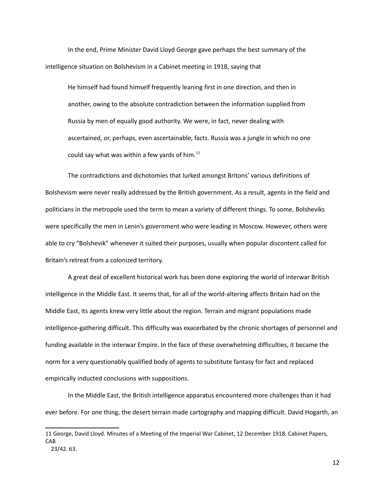In the end, Prime Minister David Lloyd George gave perhaps the best summary of the intelligence situation on Bolshevism in a Cabinet meeting in 1918, saying that

He himself had found himself frequently leaning first in one direction, and then in another, owing to the absolute contradiction between the information supplied from Russia by men of equally good authority. We were, in fact, never dealing with ascertained, or, perhaps, even ascertainable, facts. Russia was a jungle in which no one could say what was within a few yards of him. $^{11}$  $^{11}$  $^{11}$ 

The contradictions and dichotomies that lurked amongst Britons' various definitions of Bolshevism were never really addressed by the British government. As a result, agents in the field and politicians in the metropole used the term to mean a variety of different things. To some, Bolsheviks were specifically the men in Lenin's government who were leading in Moscow. However, others were able to cry "Bolshevik" whenever it suited their purposes, usually when popular discontent called for Britain's retreat from a colonized territory.

A great deal of excellent historical work has been done exploring the world of interwar British intelligence in the Middle East. It seems that, for all of the world-altering affects Britain had on the Middle East, its agents knew very little about the region. Terrain and migrant populations made intelligence-gathering difficult. This difficulty was exacerbated by the chronic shortages of personnel and funding available in the interwar Empire. In the face of these overwhelming difficulties, it became the norm for a very questionably qualified body of agents to substitute fantasy for fact and replaced empirically inducted conclusions with suppositions.

In the Middle East, the British intelligence apparatus encountered more challenges than it had ever before. For one thing, the desert terrain made cartography and mapping difficult. David Hogarth, an

<span id="page-11-0"></span><sup>11</sup> George, David Lloyd. Minutes of a Meeting of the Imperial War Cabinet, 12 December 1918. Cabinet Papers, CAB

 <sup>23/42. 63.</sup>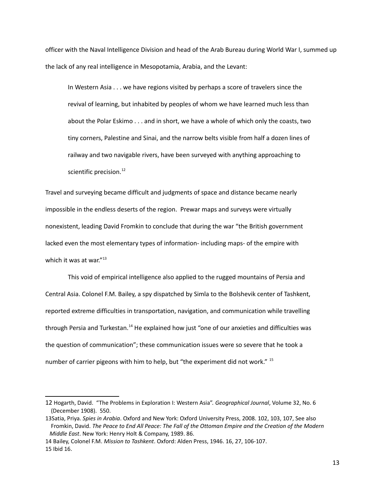officer with the Naval Intelligence Division and head of the Arab Bureau during World War I, summed up the lack of any real intelligence in Mesopotamia, Arabia, and the Levant:

In Western Asia . . . we have regions visited by perhaps a score of travelers since the revival of learning, but inhabited by peoples of whom we have learned much less than about the Polar Eskimo . . . and in short, we have a whole of which only the coasts, two tiny corners, Palestine and Sinai, and the narrow belts visible from half a dozen lines of railway and two navigable rivers, have been surveyed with anything approaching to scientific precision.<sup>[12](#page-12-0)</sup>

Travel and surveying became difficult and judgments of space and distance became nearly impossible in the endless deserts of the region. Prewar maps and surveys were virtually nonexistent, leading David Fromkin to conclude that during the war "the British government lacked even the most elementary types of information- including maps- of the empire with which it was at war."<sup>[13](#page-12-1)</sup>

This void of empirical intelligence also applied to the rugged mountains of Persia and Central Asia. Colonel F.M. Bailey, a spy dispatched by Simla to the Bolshevik center of Tashkent, reported extreme difficulties in transportation, navigation, and communication while travelling through Persia and Turkestan.<sup>[14](#page-12-2)</sup> He explained how just "one of our anxieties and difficulties was the question of communication"; these communication issues were so severe that he took a number of carrier pigeons with him to help, but "the experiment did not work." <sup>[15](#page-12-3)</sup>

<span id="page-12-0"></span><sup>12</sup> Hogarth, David. "The Problems in Exploration I: Western Asia". *Geographical Journal*, Volume 32, No. 6 (December 1908). 550.

<span id="page-12-1"></span><sup>13</sup>Satia, Priya. *Spies in Arabia*. Oxford and New York: Oxford University Press, 2008. 102, 103, 107, See also Fromkin, David. *The Peace to End All Peace: The Fall of the Ottoman Empire and the Creation of the Modern Middle East*. New York: Henry Holt & Company, 1989. 86.

<span id="page-12-3"></span><span id="page-12-2"></span><sup>14</sup> Bailey, Colonel F.M. *Mission to Tashkent*. Oxford: Alden Press, 1946. 16, 27, 106-107. 15 Ibid 16.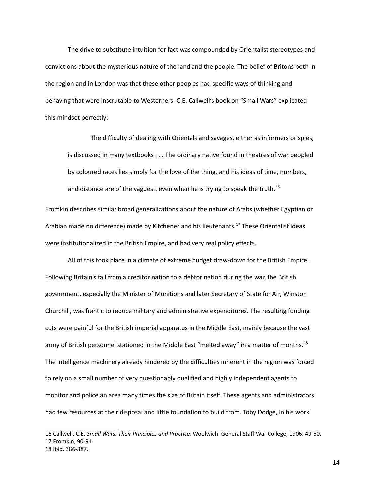The drive to substitute intuition for fact was compounded by Orientalist stereotypes and convictions about the mysterious nature of the land and the people. The belief of Britons both in the region and in London was that these other peoples had specific ways of thinking and behaving that were inscrutable to Westerners. C.E. Callwell's book on "Small Wars" explicated this mindset perfectly:

The difficulty of dealing with Orientals and savages, either as informers or spies, is discussed in many textbooks . . . The ordinary native found in theatres of war peopled by coloured races lies simply for the love of the thing, and his ideas of time, numbers, and distance are of the vaguest, even when he is trying to speak the truth.<sup>[16](#page-13-0)</sup>

Fromkin describes similar broad generalizations about the nature of Arabs (whether Egyptian or Arabian made no difference) made by Kitchener and his lieutenants.[17](#page-13-1) These Orientalist ideas were institutionalized in the British Empire, and had very real policy effects.

All of this took place in a climate of extreme budget draw-down for the British Empire. Following Britain's fall from a creditor nation to a debtor nation during the war, the British government, especially the Minister of Munitions and later Secretary of State for Air, Winston Churchill, was frantic to reduce military and administrative expenditures. The resulting funding cuts were painful for the British imperial apparatus in the Middle East, mainly because the vast army of British personnel stationed in the Middle East "melted away" in a matter of months.<sup>[18](#page-13-2)</sup> The intelligence machinery already hindered by the difficulties inherent in the region was forced to rely on a small number of very questionably qualified and highly independent agents to monitor and police an area many times the size of Britain itself. These agents and administrators had few resources at their disposal and little foundation to build from. Toby Dodge, in his work

<span id="page-13-2"></span><span id="page-13-1"></span><span id="page-13-0"></span><sup>16</sup> Callwell, C.E. *Small Wars: Their Principles and Practice*. Woolwich: General Staff War College, 1906. 49-50. 17 Fromkin, 90-91. 18 Ibid. 386-387.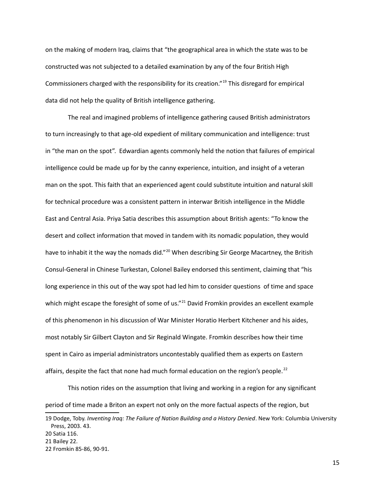on the making of modern Iraq, claims that "the geographical area in which the state was to be constructed was not subjected to a detailed examination by any of the four British High Commissioners charged with the responsibility for its creation."[19](#page-14-0) This disregard for empirical data did not help the quality of British intelligence gathering.

The real and imagined problems of intelligence gathering caused British administrators to turn increasingly to that age-old expedient of military communication and intelligence: trust in "the man on the spot". Edwardian agents commonly held the notion that failures of empirical intelligence could be made up for by the canny experience, intuition, and insight of a veteran man on the spot. This faith that an experienced agent could substitute intuition and natural skill for technical procedure was a consistent pattern in interwar British intelligence in the Middle East and Central Asia. Priya Satia describes this assumption about British agents: "To know the desert and collect information that moved in tandem with its nomadic population, they would have to inhabit it the way the nomads did."<sup>[20](#page-14-1)</sup> When describing Sir George Macartney, the British Consul-General in Chinese Turkestan, Colonel Bailey endorsed this sentiment, claiming that "his long experience in this out of the way spot had led him to consider questions of time and space which might escape the foresight of some of us."<sup>[21](#page-14-2)</sup> David Fromkin provides an excellent example of this phenomenon in his discussion of War Minister Horatio Herbert Kitchener and his aides, most notably Sir Gilbert Clayton and Sir Reginald Wingate. Fromkin describes how their time spent in Cairo as imperial administrators uncontestably qualified them as experts on Eastern affairs, despite the fact that none had much formal education on the region's people. $^{22}$  $^{22}$  $^{22}$ 

This notion rides on the assumption that living and working in a region for any significant period of time made a Briton an expert not only on the more factual aspects of the region, but

<span id="page-14-0"></span><sup>19</sup> Dodge, Toby. *Inventing Iraq: The Failure of Nation Building and a History Denied*. New York: Columbia University Press, 2003. 43.

<span id="page-14-1"></span><sup>20</sup> Satia 116.

<span id="page-14-2"></span><sup>21</sup> Bailey 22.

<span id="page-14-3"></span><sup>22</sup> Fromkin 85-86, 90-91.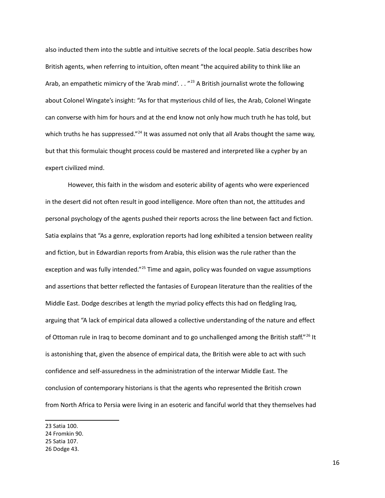also inducted them into the subtle and intuitive secrets of the local people. Satia describes how British agents, when referring to intuition, often meant "the acquired ability to think like an Arab, an empathetic mimicry of the 'Arab mind'. . . "<sup>[23](#page-15-0)</sup> A British journalist wrote the following about Colonel Wingate's insight: "As for that mysterious child of lies, the Arab, Colonel Wingate can converse with him for hours and at the end know not only how much truth he has told, but which truths he has suppressed."<sup>[24](#page-15-1)</sup> It was assumed not only that all Arabs thought the same way, but that this formulaic thought process could be mastered and interpreted like a cypher by an expert civilized mind.

However, this faith in the wisdom and esoteric ability of agents who were experienced in the desert did not often result in good intelligence. More often than not, the attitudes and personal psychology of the agents pushed their reports across the line between fact and fiction. Satia explains that "As a genre, exploration reports had long exhibited a tension between reality and fiction, but in Edwardian reports from Arabia, this elision was the rule rather than the exception and was fully intended."<sup>[25](#page-15-2)</sup> Time and again, policy was founded on vague assumptions and assertions that better reflected the fantasies of European literature than the realities of the Middle East. Dodge describes at length the myriad policy effects this had on fledgling Iraq, arguing that "A lack of empirical data allowed a collective understanding of the nature and effect of Ottoman rule in Iraq to become dominant and to go unchallenged among the British staff."<sup>[26](#page-15-3)</sup> It is astonishing that, given the absence of empirical data, the British were able to act with such confidence and self-assuredness in the administration of the interwar Middle East. The conclusion of contemporary historians is that the agents who represented the British crown from North Africa to Persia were living in an esoteric and fanciful world that they themselves had

<span id="page-15-0"></span>23 Satia 100.

<span id="page-15-1"></span><sup>24</sup> Fromkin 90.

<span id="page-15-2"></span><sup>25</sup> Satia 107.

<span id="page-15-3"></span><sup>26</sup> Dodge 43.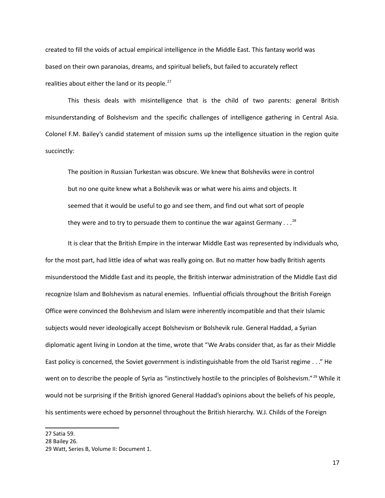created to fill the voids of actual empirical intelligence in the Middle East. This fantasy world was based on their own paranoias, dreams, and spiritual beliefs, but failed to accurately reflect realities about either the land or its people.<sup>[27](#page-16-0)</sup>

This thesis deals with misintelligence that is the child of two parents: general British misunderstanding of Bolshevism and the specific challenges of intelligence gathering in Central Asia. Colonel F.M. Bailey's candid statement of mission sums up the intelligence situation in the region quite succinctly:

The position in Russian Turkestan was obscure. We knew that Bolsheviks were in control but no one quite knew what a Bolshevik was or what were his aims and objects. It seemed that it would be useful to go and see them, and find out what sort of people they were and to try to persuade them to continue the war against Germany  $\ldots^{28}$  $\ldots^{28}$  $\ldots^{28}$ 

It is clear that the British Empire in the interwar Middle East was represented by individuals who, for the most part, had little idea of what was really going on. But no matter how badly British agents misunderstood the Middle East and its people, the British interwar administration of the Middle East did recognize Islam and Bolshevism as natural enemies. Influential officials throughout the British Foreign Office were convinced the Bolshevism and Islam were inherently incompatible and that their Islamic subjects would never ideologically accept Bolshevism or Bolshevik rule. General Haddad, a Syrian diplomatic agent living in London at the time, wrote that "We Arabs consider that, as far as their Middle East policy is concerned, the Soviet government is indistinguishable from the old Tsarist regime . . ." He went on to describe the people of Syria as "instinctively hostile to the principles of Bolshevism."<sup>[29](#page-16-2)</sup> While it would not be surprising if the British ignored General Haddad's opinions about the beliefs of his people, his sentiments were echoed by personnel throughout the British hierarchy. W.J. Childs of the Foreign

<span id="page-16-0"></span><sup>27</sup> Satia 59.

<span id="page-16-1"></span><sup>28</sup> Bailey 26.

<span id="page-16-2"></span><sup>29</sup> Watt, Series B, Volume II: Document 1.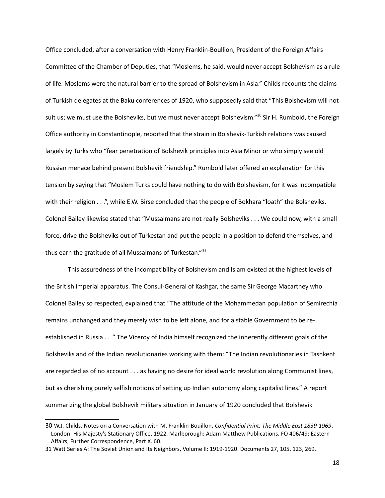Office concluded, after a conversation with Henry Franklin-Boullion, President of the Foreign Affairs Committee of the Chamber of Deputies, that "Moslems, he said, would never accept Bolshevism as a rule of life. Moslems were the natural barrier to the spread of Bolshevism in Asia." Childs recounts the claims of Turkish delegates at the Baku conferences of 1920, who supposedly said that "This Bolshevism will not suit us; we must use the Bolsheviks, but we must never accept Bolshevism."<sup>[30](#page-17-0)</sup> Sir H. Rumbold, the Foreign Office authority in Constantinople, reported that the strain in Bolshevik-Turkish relations was caused largely by Turks who "fear penetration of Bolshevik principles into Asia Minor or who simply see old Russian menace behind present Bolshevik friendship." Rumbold later offered an explanation for this tension by saying that "Moslem Turks could have nothing to do with Bolshevism, for it was incompatible with their religion . . .", while E.W. Birse concluded that the people of Bokhara "loath" the Bolsheviks. Colonel Bailey likewise stated that "Mussalmans are not really Bolsheviks . . . We could now, with a small force, drive the Bolsheviks out of Turkestan and put the people in a position to defend themselves, and thus earn the gratitude of all Mussalmans of Turkestan."<sup>[31](#page-17-1)</sup>

This assuredness of the incompatibility of Bolshevism and Islam existed at the highest levels of the British imperial apparatus. The Consul-General of Kashgar, the same Sir George Macartney who Colonel Bailey so respected, explained that "The attitude of the Mohammedan population of Semirechia remains unchanged and they merely wish to be left alone, and for a stable Government to be reestablished in Russia . . ." The Viceroy of India himself recognized the inherently different goals of the Bolsheviks and of the Indian revolutionaries working with them: "The Indian revolutionaries in Tashkent are regarded as of no account . . . as having no desire for ideal world revolution along Communist lines, but as cherishing purely selfish notions of setting up Indian autonomy along capitalist lines." A report summarizing the global Bolshevik military situation in January of 1920 concluded that Bolshevik

<span id="page-17-0"></span><sup>30</sup> W.J. Childs. Notes on a Conversation with M. Franklin-Bouillon. *Confidential Print: The Middle East 1839-1969*. London: His Majesty's Stationary Office, 1922. Marlborough: Adam Matthew Publications. FO 406/49: Eastern Affairs, Further Correspondence, Part X. 60.

<span id="page-17-1"></span><sup>31</sup> Watt Series A: The Soviet Union and Its Neighbors, Volume II: 1919-1920. Documents 27, 105, 123, 269.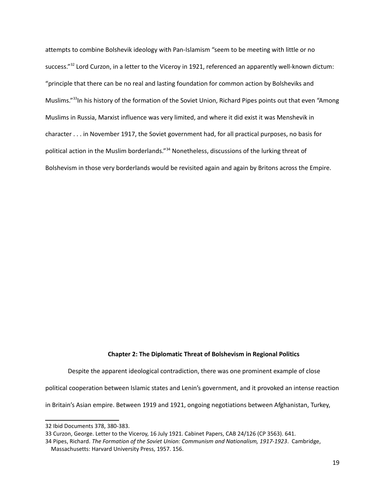attempts to combine Bolshevik ideology with Pan-Islamism "seem to be meeting with little or no success."<sup>[32](#page-18-0)</sup> Lord Curzon, in a letter to the Viceroy in 1921, referenced an apparently well-known dictum: "principle that there can be no real and lasting foundation for common action by Bolsheviks and Muslims."<sup>[33](#page-18-1)</sup>In his history of the formation of the Soviet Union, Richard Pipes points out that even "Among Muslims in Russia, Marxist influence was very limited, and where it did exist it was Menshevik in character . . . in November 1917, the Soviet government had, for all practical purposes, no basis for political action in the Muslim borderlands."[34](#page-18-2) Nonetheless, discussions of the lurking threat of Bolshevism in those very borderlands would be revisited again and again by Britons across the Empire.

## **Chapter 2: The Diplomatic Threat of Bolshevism in Regional Politics**

Despite the apparent ideological contradiction, there was one prominent example of close

political cooperation between Islamic states and Lenin's government, and it provoked an intense reaction

in Britain's Asian empire. Between 1919 and 1921, ongoing negotiations between Afghanistan, Turkey,

<span id="page-18-0"></span><sup>32</sup> Ibid Documents 378, 380-383.

<span id="page-18-1"></span><sup>33</sup> Curzon, George. Letter to the Viceroy, 16 July 1921. Cabinet Papers, CAB 24/126 (CP 3563). 641.

<span id="page-18-2"></span><sup>34</sup> Pipes, Richard. *The Formation of the Soviet Union: Communism and Nationalism, 1917-1923*. Cambridge, Massachusetts: Harvard University Press, 1957. 156.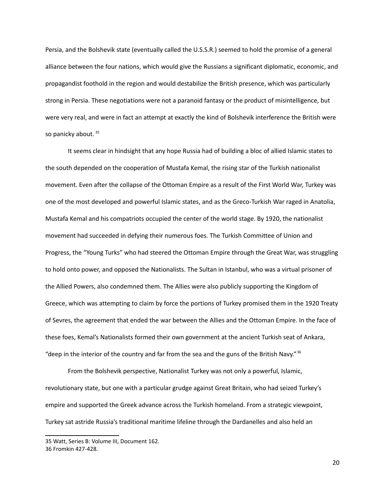Persia, and the Bolshevik state (eventually called the U.S.S.R.) seemed to hold the promise of a general alliance between the four nations, which would give the Russians a significant diplomatic, economic, and propagandist foothold in the region and would destabilize the British presence, which was particularly strong in Persia. These negotiations were not a paranoid fantasy or the product of misintelligence, but were very real, and were in fact an attempt at exactly the kind of Bolshevik interference the British were so panicky about.<sup>[35](#page-19-0)</sup>

It seems clear in hindsight that any hope Russia had of building a bloc of allied Islamic states to the south depended on the cooperation of Mustafa Kemal, the rising star of the Turkish nationalist movement. Even after the collapse of the Ottoman Empire as a result of the First World War, Turkey was one of the most developed and powerful Islamic states, and as the Greco-Turkish War raged in Anatolia, Mustafa Kemal and his compatriots occupied the center of the world stage. By 1920, the nationalist movement had succeeded in defying their numerous foes. The Turkish Committee of Union and Progress, the "Young Turks" who had steered the Ottoman Empire through the Great War, was struggling to hold onto power, and opposed the Nationalists. The Sultan in Istanbul, who was a virtual prisoner of the Allied Powers, also condemned them. The Allies were also publicly supporting the Kingdom of Greece, which was attempting to claim by force the portions of Turkey promised them in the 1920 Treaty of Sevres, the agreement that ended the war between the Allies and the Ottoman Empire. In the face of these foes, Kemal's Nationalists formed their own government at the ancient Turkish seat of Ankara, "deep in the interior of the country and far from the sea and the guns of the British Navy."  $36$ 

From the Bolshevik perspective, Nationalist Turkey was not only a powerful, Islamic, revolutionary state, but one with a particular grudge against Great Britain, who had seized Turkey's empire and supported the Greek advance across the Turkish homeland. From a strategic viewpoint, Turkey sat astride Russia's traditional maritime lifeline through the Dardanelles and also held an

<span id="page-19-1"></span><span id="page-19-0"></span><sup>35</sup> Watt, Series B: Volume III, Document 162. 36 Fromkin 427-428.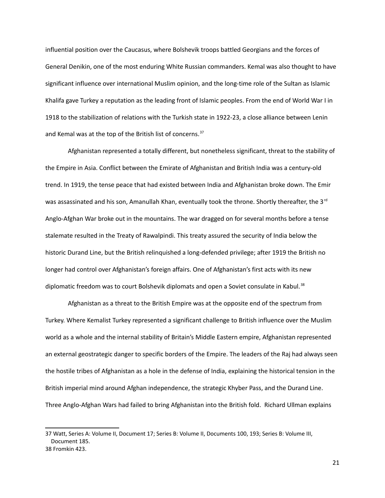influential position over the Caucasus, where Bolshevik troops battled Georgians and the forces of General Denikin, one of the most enduring White Russian commanders. Kemal was also thought to have significant influence over international Muslim opinion, and the long-time role of the Sultan as Islamic Khalifa gave Turkey a reputation as the leading front of Islamic peoples. From the end of World War I in 1918 to the stabilization of relations with the Turkish state in 1922-23, a close alliance between Lenin and Kemal was at the top of the British list of concerns.<sup>[37](#page-20-0)</sup>

Afghanistan represented a totally different, but nonetheless significant, threat to the stability of the Empire in Asia. Conflict between the Emirate of Afghanistan and British India was a century-old trend. In 1919, the tense peace that had existed between India and Afghanistan broke down. The Emir was assassinated and his son, Amanullah Khan, eventually took the throne. Shortly thereafter, the 3 $^{\text{rd}}$ Anglo-Afghan War broke out in the mountains. The war dragged on for several months before a tense stalemate resulted in the Treaty of Rawalpindi. This treaty assured the security of India below the historic Durand Line, but the British relinquished a long-defended privilege; after 1919 the British no longer had control over Afghanistan's foreign affairs. One of Afghanistan's first acts with its new diplomatic freedom was to court Bolshevik diplomats and open a Soviet consulate in Kabul.<sup>[38](#page-20-1)</sup>

Afghanistan as a threat to the British Empire was at the opposite end of the spectrum from Turkey. Where Kemalist Turkey represented a significant challenge to British influence over the Muslim world as a whole and the internal stability of Britain's Middle Eastern empire, Afghanistan represented an external geostrategic danger to specific borders of the Empire. The leaders of the Raj had always seen the hostile tribes of Afghanistan as a hole in the defense of India, explaining the historical tension in the British imperial mind around Afghan independence, the strategic Khyber Pass, and the Durand Line. Three Anglo-Afghan Wars had failed to bring Afghanistan into the British fold. Richard Ullman explains

<span id="page-20-1"></span><span id="page-20-0"></span><sup>37</sup> Watt, Series A: Volume II, Document 17; Series B: Volume II, Documents 100, 193; Series B: Volume III, Document 185. 38 Fromkin 423.

<sup>21</sup>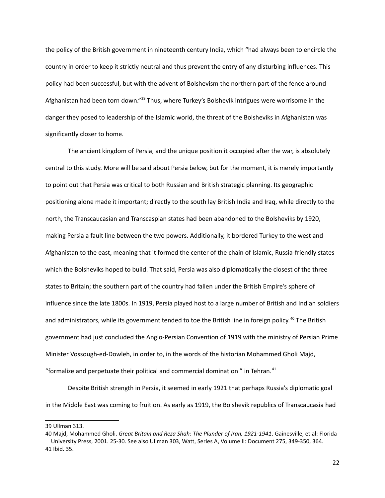the policy of the British government in nineteenth century India, which "had always been to encircle the country in order to keep it strictly neutral and thus prevent the entry of any disturbing influences. This policy had been successful, but with the advent of Bolshevism the northern part of the fence around Afghanistan had been torn down."<sup>[39](#page-21-0)</sup> Thus, where Turkey's Bolshevik intrigues were worrisome in the danger they posed to leadership of the Islamic world, the threat of the Bolsheviks in Afghanistan was significantly closer to home.

The ancient kingdom of Persia, and the unique position it occupied after the war, is absolutely central to this study. More will be said about Persia below, but for the moment, it is merely importantly to point out that Persia was critical to both Russian and British strategic planning. Its geographic positioning alone made it important; directly to the south lay British India and Iraq, while directly to the north, the Transcaucasian and Transcaspian states had been abandoned to the Bolsheviks by 1920, making Persia a fault line between the two powers. Additionally, it bordered Turkey to the west and Afghanistan to the east, meaning that it formed the center of the chain of Islamic, Russia-friendly states which the Bolsheviks hoped to build. That said, Persia was also diplomatically the closest of the three states to Britain; the southern part of the country had fallen under the British Empire's sphere of influence since the late 1800s. In 1919, Persia played host to a large number of British and Indian soldiers and administrators, while its government tended to toe the British line in foreign policy.<sup>[40](#page-21-1)</sup> The British government had just concluded the Anglo-Persian Convention of 1919 with the ministry of Persian Prime Minister Vossough-ed-Dowleh, in order to, in the words of the historian Mohammed Gholi Majd, "formalize and perpetuate their political and commercial domination" in Tehran. $41$ 

Despite British strength in Persia, it seemed in early 1921 that perhaps Russia's diplomatic goal in the Middle East was coming to fruition. As early as 1919, the Bolshevik republics of Transcaucasia had

<span id="page-21-0"></span><sup>39</sup> Ullman 313.

<span id="page-21-2"></span><span id="page-21-1"></span><sup>40</sup> Majd, Mohammed Gholi. *Great Britain and Reza Shah: The Plunder of Iran, 1921-1941*. Gainesville, et al: Florida University Press, 2001. 25-30. See also Ullman 303, Watt, Series A, Volume II: Document 275, 349-350, 364. 41 Ibid. 35.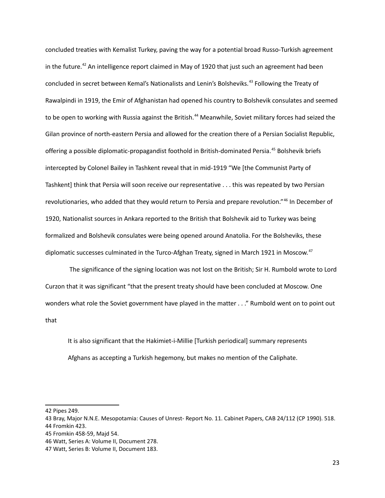concluded treaties with Kemalist Turkey, paving the way for a potential broad Russo-Turkish agreement in the future.<sup>[42](#page-22-0)</sup> An intelligence report claimed in May of 1920 that just such an agreement had been concluded in secret between Kemal's Nationalists and Lenin's Bolsheviks.<sup>[43](#page-22-1)</sup> Following the Treaty of Rawalpindi in 1919, the Emir of Afghanistan had opened his country to Bolshevik consulates and seemed to be open to working with Russia against the British.<sup>[44](#page-22-2)</sup> Meanwhile, Soviet military forces had seized the Gilan province of north-eastern Persia and allowed for the creation there of a Persian Socialist Republic, offering a possible diplomatic-propagandist foothold in British-dominated Persia.[45](#page-22-3) Bolshevik briefs intercepted by Colonel Bailey in Tashkent reveal that in mid-1919 "We [the Communist Party of Tashkent] think that Persia will soon receive our representative . . . this was repeated by two Persian revolutionaries, who added that they would return to Persia and prepare revolution."<sup>[46](#page-22-4)</sup> In December of 1920, Nationalist sources in Ankara reported to the British that Bolshevik aid to Turkey was being formalized and Bolshevik consulates were being opened around Anatolia. For the Bolsheviks, these diplomatic successes culminated in the Turco-Afghan Treaty, signed in March 1921 in Moscow.<sup>[47](#page-22-5)</sup>

 The significance of the signing location was not lost on the British; Sir H. Rumbold wrote to Lord Curzon that it was significant "that the present treaty should have been concluded at Moscow. One wonders what role the Soviet government have played in the matter . . ." Rumbold went on to point out that

It is also significant that the Hakimiet-i-Millie [Turkish periodical] summary represents Afghans as accepting a Turkish hegemony, but makes no mention of the Caliphate.

<span id="page-22-0"></span><sup>42</sup> Pipes 249.

<span id="page-22-2"></span><span id="page-22-1"></span><sup>43</sup> Bray, Major N.N.E. Mesopotamia: Causes of Unrest- Report No. 11. Cabinet Papers, CAB 24/112 (CP 1990). 518. 44 Fromkin 423.

<span id="page-22-3"></span><sup>45</sup> Fromkin 458-59, Majd 54.

<span id="page-22-4"></span><sup>46</sup> Watt, Series A: Volume II, Document 278.

<span id="page-22-5"></span><sup>47</sup> Watt, Series B: Volume II, Document 183.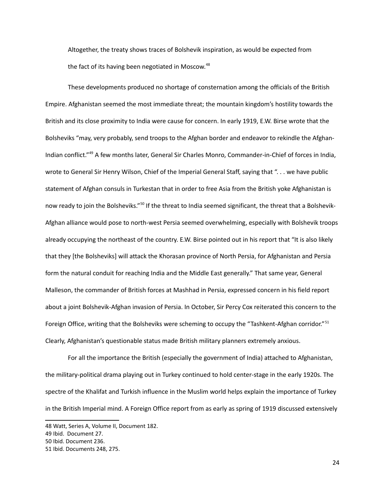Altogether, the treaty shows traces of Bolshevik inspiration, as would be expected from the fact of its having been negotiated in Moscow.<sup>[48](#page-23-0)</sup>

These developments produced no shortage of consternation among the officials of the British Empire. Afghanistan seemed the most immediate threat; the mountain kingdom's hostility towards the British and its close proximity to India were cause for concern. In early 1919, E.W. Birse wrote that the Bolsheviks "may, very probably, send troops to the Afghan border and endeavor to rekindle the Afghan-Indian conflict."[49](#page-23-1) A few months later, General Sir Charles Monro, Commander-in-Chief of forces in India, wrote to General Sir Henry Wilson, Chief of the Imperial General Staff, saying that ". . . we have public statement of Afghan consuls in Turkestan that in order to free Asia from the British yoke Afghanistan is now ready to join the Bolsheviks."[50](#page-23-2) If the threat to India seemed significant, the threat that a Bolshevik-Afghan alliance would pose to north-west Persia seemed overwhelming, especially with Bolshevik troops already occupying the northeast of the country. E.W. Birse pointed out in his report that "It is also likely that they [the Bolsheviks] will attack the Khorasan province of North Persia, for Afghanistan and Persia form the natural conduit for reaching India and the Middle East generally." That same year, General Malleson, the commander of British forces at Mashhad in Persia, expressed concern in his field report about a joint Bolshevik-Afghan invasion of Persia. In October, Sir Percy Cox reiterated this concern to the Foreign Office, writing that the Bolsheviks were scheming to occupy the "Tashkent-Afghan corridor."<sup>[51](#page-23-3)</sup> Clearly, Afghanistan's questionable status made British military planners extremely anxious.

For all the importance the British (especially the government of India) attached to Afghanistan, the military-political drama playing out in Turkey continued to hold center-stage in the early 1920s. The spectre of the Khalifat and Turkish influence in the Muslim world helps explain the importance of Turkey in the British Imperial mind. A Foreign Office report from as early as spring of 1919 discussed extensively

<span id="page-23-0"></span><sup>48</sup> Watt, Series A, Volume II, Document 182.

<span id="page-23-1"></span><sup>49</sup> Ibid. Document 27.

<span id="page-23-2"></span><sup>50</sup> Ibid. Document 236.

<span id="page-23-3"></span><sup>51</sup> Ibid. Documents 248, 275.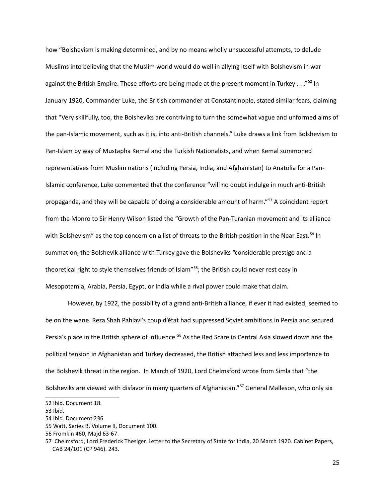how "Bolshevism is making determined, and by no means wholly unsuccessful attempts, to delude Muslims into believing that the Muslim world would do well in allying itself with Bolshevism in war against the British Empire. These efforts are being made at the present moment in Turkey  $\ldots$ "<sup>[52](#page-24-0)</sup> In January 1920, Commander Luke, the British commander at Constantinople, stated similar fears, claiming that "Very skillfully, too, the Bolsheviks are contriving to turn the somewhat vague and unformed aims of the pan-Islamic movement, such as it is, into anti-British channels." Luke draws a link from Bolshevism to Pan-Islam by way of Mustapha Kemal and the Turkish Nationalists, and when Kemal summoned representatives from Muslim nations (including Persia, India, and Afghanistan) to Anatolia for a Pan-Islamic conference, Luke commented that the conference "will no doubt indulge in much anti-British propaganda, and they will be capable of doing a considerable amount of harm."[53](#page-24-1) A coincident report from the Monro to Sir Henry Wilson listed the "Growth of the Pan-Turanian movement and its alliance with Bolshevism" as the top concern on a list of threats to the British position in the Near East.<sup>[54](#page-24-2)</sup> In summation, the Bolshevik alliance with Turkey gave the Bolsheviks "considerable prestige and a theoretical right to style themselves friends of Islam"<sup>[55](#page-24-3)</sup>; the British could never rest easy in Mesopotamia, Arabia, Persia, Egypt, or India while a rival power could make that claim.

However, by 1922, the possibility of a grand anti-British alliance, if ever it had existed, seemed to be on the wane. Reza Shah Pahlavi's coup d'état had suppressed Soviet ambitions in Persia and secured Persia's place in the British sphere of influence.<sup>[56](#page-24-4)</sup> As the Red Scare in Central Asia slowed down and the political tension in Afghanistan and Turkey decreased, the British attached less and less importance to the Bolshevik threat in the region. In March of 1920, Lord Chelmsford wrote from Simla that "the Bolsheviks are viewed with disfavor in many quarters of Afghanistan."[57](#page-24-5) General Malleson, who only six

<span id="page-24-0"></span><sup>52</sup> Ibid. Document 18.

<span id="page-24-1"></span><sup>53</sup> Ibid.

<span id="page-24-2"></span><sup>54</sup> Ibid. Document 236.

<span id="page-24-3"></span><sup>55</sup> Watt, Series B, Volume II, Document 100.

<span id="page-24-4"></span><sup>56</sup> Fromkin 460, Majd 63-67.

<span id="page-24-5"></span><sup>57</sup> Chelmsford, Lord Frederick Thesiger. Letter to the Secretary of State for India, 20 March 1920. Cabinet Papers, CAB 24/101 (CP 946). 243.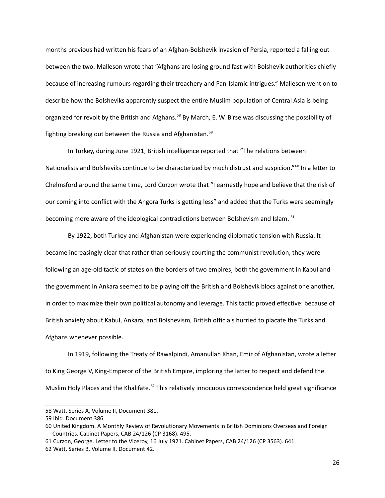months previous had written his fears of an Afghan-Bolshevik invasion of Persia, reported a falling out between the two. Malleson wrote that "Afghans are losing ground fast with Bolshevik authorities chiefly because of increasing rumours regarding their treachery and Pan-Islamic intrigues." Malleson went on to describe how the Bolsheviks apparently suspect the entire Muslim population of Central Asia is being organized for revolt by the British and Afghans.<sup>[58](#page-25-0)</sup> By March, E. W. Birse was discussing the possibility of fighting breaking out between the Russia and Afghanistan.<sup>[59](#page-25-1)</sup>

In Turkey, during June 1921, British intelligence reported that "The relations between Nationalists and Bolsheviks continue to be characterized by much distrust and suspicion."<sup>[60](#page-25-2)</sup> In a letter to Chelmsford around the same time, Lord Curzon wrote that "I earnestly hope and believe that the risk of our coming into conflict with the Angora Turks is getting less" and added that the Turks were seemingly becoming more aware of the ideological contradictions between Bolshevism and Islam. <sup>[61](#page-25-3)</sup>

By 1922, both Turkey and Afghanistan were experiencing diplomatic tension with Russia. It became increasingly clear that rather than seriously courting the communist revolution, they were following an age-old tactic of states on the borders of two empires; both the government in Kabul and the government in Ankara seemed to be playing off the British and Bolshevik blocs against one another, in order to maximize their own political autonomy and leverage. This tactic proved effective: because of British anxiety about Kabul, Ankara, and Bolshevism, British officials hurried to placate the Turks and Afghans whenever possible.

In 1919, following the Treaty of Rawalpindi, Amanullah Khan, Emir of Afghanistan, wrote a letter to King George V, King-Emperor of the British Empire, imploring the latter to respect and defend the Muslim Holy Places and the Khalifate.<sup>[62](#page-25-4)</sup> This relatively innocuous correspondence held great significance

<span id="page-25-0"></span><sup>58</sup> Watt, Series A, Volume II, Document 381.

<span id="page-25-1"></span><sup>59</sup> Ibid. Document 386.

<span id="page-25-2"></span><sup>60</sup> United Kingdom. A Monthly Review of Revolutionary Movements in British Dominions Overseas and Foreign Countries. Cabinet Papers, CAB 24/126 (CP 3168). 495.

<span id="page-25-4"></span><span id="page-25-3"></span><sup>61</sup> Curzon, George. Letter to the Viceroy, 16 July 1921. Cabinet Papers, CAB 24/126 (CP 3563). 641. 62 Watt, Series B, Volume II, Document 42.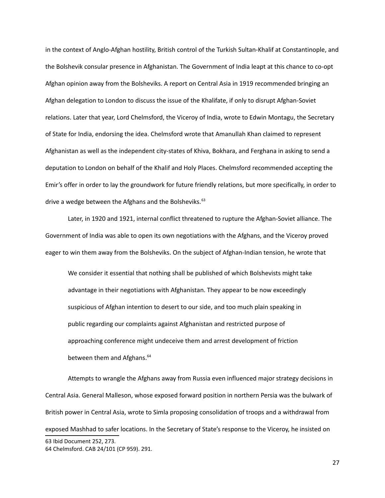in the context of Anglo-Afghan hostility, British control of the Turkish Sultan-Khalif at Constantinople, and the Bolshevik consular presence in Afghanistan. The Government of India leapt at this chance to co-opt Afghan opinion away from the Bolsheviks. A report on Central Asia in 1919 recommended bringing an Afghan delegation to London to discuss the issue of the Khalifate, if only to disrupt Afghan-Soviet relations. Later that year, Lord Chelmsford, the Viceroy of India, wrote to Edwin Montagu, the Secretary of State for India, endorsing the idea. Chelmsford wrote that Amanullah Khan claimed to represent Afghanistan as well as the independent city-states of Khiva, Bokhara, and Ferghana in asking to send a deputation to London on behalf of the Khalif and Holy Places. Chelmsford recommended accepting the Emir's offer in order to lay the groundwork for future friendly relations, but more specifically, in order to drive a wedge between the Afghans and the Bolsheviks.<sup>[63](#page-26-0)</sup>

Later, in 1920 and 1921, internal conflict threatened to rupture the Afghan-Soviet alliance. The Government of India was able to open its own negotiations with the Afghans, and the Viceroy proved eager to win them away from the Bolsheviks. On the subject of Afghan-Indian tension, he wrote that

We consider it essential that nothing shall be published of which Bolshevists might take advantage in their negotiations with Afghanistan. They appear to be now exceedingly suspicious of Afghan intention to desert to our side, and too much plain speaking in public regarding our complaints against Afghanistan and restricted purpose of approaching conference might undeceive them and arrest development of friction between them and Afghans.<sup>[64](#page-26-1)</sup>

<span id="page-26-1"></span><span id="page-26-0"></span>Attempts to wrangle the Afghans away from Russia even influenced major strategy decisions in Central Asia. General Malleson, whose exposed forward position in northern Persia was the bulwark of British power in Central Asia, wrote to Simla proposing consolidation of troops and a withdrawal from exposed Mashhad to safer locations. In the Secretary of State's response to the Viceroy, he insisted on 63 Ibid Document 252, 273. 64 Chelmsford. CAB 24/101 (CP 959). 291.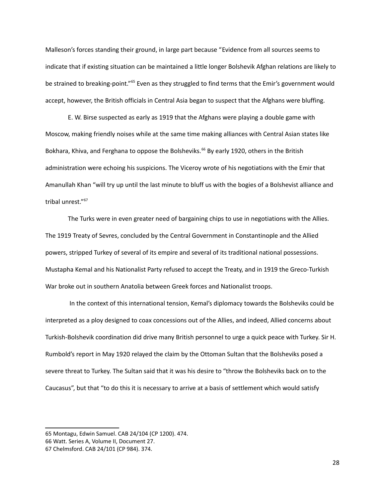Malleson's forces standing their ground, in large part because "Evidence from all sources seems to indicate that if existing situation can be maintained a little longer Bolshevik Afghan relations are likely to be strained to breaking-point."<sup>[65](#page-27-0)</sup> Even as they struggled to find terms that the Emir's government would accept, however, the British officials in Central Asia began to suspect that the Afghans were bluffing.

E. W. Birse suspected as early as 1919 that the Afghans were playing a double game with Moscow, making friendly noises while at the same time making alliances with Central Asian states like Bokhara, Khiva, and Ferghana to oppose the Bolsheviks.<sup>[66](#page-27-1)</sup> By early 1920, others in the British administration were echoing his suspicions. The Viceroy wrote of his negotiations with the Emir that Amanullah Khan "will try up until the last minute to bluff us with the bogies of a Bolshevist alliance and tribal unrest."<sup>[67](#page-27-2)</sup>

The Turks were in even greater need of bargaining chips to use in negotiations with the Allies. The 1919 Treaty of Sevres, concluded by the Central Government in Constantinople and the Allied powers, stripped Turkey of several of its empire and several of its traditional national possessions. Mustapha Kemal and his Nationalist Party refused to accept the Treaty, and in 1919 the Greco-Turkish War broke out in southern Anatolia between Greek forces and Nationalist troops.

 In the context of this international tension, Kemal's diplomacy towards the Bolsheviks could be interpreted as a ploy designed to coax concessions out of the Allies, and indeed, Allied concerns about Turkish-Bolshevik coordination did drive many British personnel to urge a quick peace with Turkey. Sir H. Rumbold's report in May 1920 relayed the claim by the Ottoman Sultan that the Bolsheviks posed a severe threat to Turkey. The Sultan said that it was his desire to "throw the Bolsheviks back on to the Caucasus", but that "to do this it is necessary to arrive at a basis of settlement which would satisfy

<span id="page-27-0"></span><sup>65</sup> Montagu, Edwin Samuel. CAB 24/104 (CP 1200). 474.

<span id="page-27-1"></span><sup>66</sup> Watt. Series A, Volume II, Document 27.

<span id="page-27-2"></span><sup>67</sup> Chelmsford. CAB 24/101 (CP 984). 374.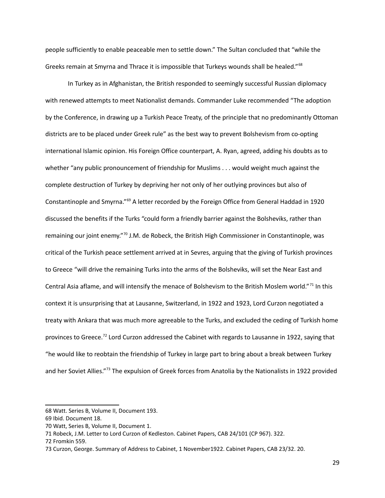people sufficiently to enable peaceable men to settle down." The Sultan concluded that "while the Greeks remain at Smyrna and Thrace it is impossible that Turkeys wounds shall be healed."<sup>[68](#page-28-0)</sup>

In Turkey as in Afghanistan, the British responded to seemingly successful Russian diplomacy with renewed attempts to meet Nationalist demands. Commander Luke recommended "The adoption by the Conference, in drawing up a Turkish Peace Treaty, of the principle that no predominantly Ottoman districts are to be placed under Greek rule" as the best way to prevent Bolshevism from co-opting international Islamic opinion. His Foreign Office counterpart, A. Ryan, agreed, adding his doubts as to whether "any public pronouncement of friendship for Muslims . . . would weight much against the complete destruction of Turkey by depriving her not only of her outlying provinces but also of Constantinople and Smyrna."[69](#page-28-1) A letter recorded by the Foreign Office from General Haddad in 1920 discussed the benefits if the Turks "could form a friendly barrier against the Bolsheviks, rather than remaining our joint enemy." $70$  J.M. de Robeck, the British High Commissioner in Constantinople, was critical of the Turkish peace settlement arrived at in Sevres, arguing that the giving of Turkish provinces to Greece "will drive the remaining Turks into the arms of the Bolsheviks, will set the Near East and Central Asia aflame, and will intensify the menace of Bolshevism to the British Moslem world."[71](#page-28-3) In this context it is unsurprising that at Lausanne, Switzerland, in 1922 and 1923, Lord Curzon negotiated a treaty with Ankara that was much more agreeable to the Turks, and excluded the ceding of Turkish home provinces to Greece.<sup>[72](#page-28-4)</sup> Lord Curzon addressed the Cabinet with regards to Lausanne in 1922, saying that "he would like to reobtain the friendship of Turkey in large part to bring about a break between Turkey and her Soviet Allies."<sup>[73](#page-28-5)</sup> The expulsion of Greek forces from Anatolia by the Nationalists in 1922 provided

<span id="page-28-0"></span><sup>68</sup> Watt. Series B, Volume II, Document 193.

<span id="page-28-1"></span><sup>69</sup> Ibid. Document 18.

<span id="page-28-2"></span><sup>70</sup> Watt, Series B, Volume II, Document 1.

<span id="page-28-3"></span><sup>71</sup> Robeck, J.M. Letter to Lord Curzon of Kedleston. Cabinet Papers, CAB 24/101 (CP 967). 322.

<span id="page-28-4"></span><sup>72</sup> Fromkin 559.

<span id="page-28-5"></span><sup>73</sup> Curzon, George. Summary of Address to Cabinet, 1 November1922. Cabinet Papers, CAB 23/32. 20.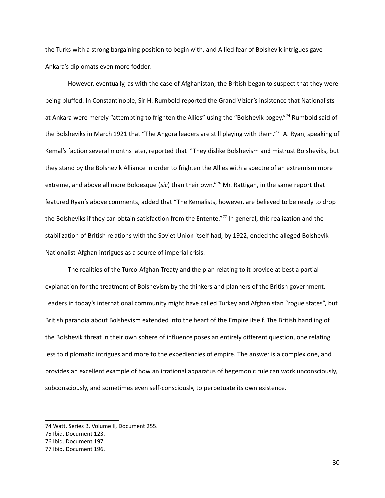the Turks with a strong bargaining position to begin with, and Allied fear of Bolshevik intrigues gave Ankara's diplomats even more fodder.

However, eventually, as with the case of Afghanistan, the British began to suspect that they were being bluffed. In Constantinople, Sir H. Rumbold reported the Grand Vizier's insistence that Nationalists at Ankara were merely "attempting to frighten the Allies" using the "Bolshevik bogey."<sup>[74](#page-29-0)</sup> Rumbold said of the Bolsheviks in March 1921 that "The Angora leaders are still playing with them."<sup>[75](#page-29-1)</sup> A. Ryan, speaking of Kemal's faction several months later, reported that "They dislike Bolshevism and mistrust Bolsheviks, but they stand by the Bolshevik Alliance in order to frighten the Allies with a spectre of an extremism more extreme, and above all more Boloesque (*sic*) than their own."[76](#page-29-2) Mr. Rattigan, in the same report that featured Ryan's above comments, added that "The Kemalists, however, are believed to be ready to drop the Bolsheviks if they can obtain satisfaction from the Entente."<sup>[77](#page-29-3)</sup> In general, this realization and the stabilization of British relations with the Soviet Union itself had, by 1922, ended the alleged Bolshevik-Nationalist-Afghan intrigues as a source of imperial crisis.

The realities of the Turco-Afghan Treaty and the plan relating to it provide at best a partial explanation for the treatment of Bolshevism by the thinkers and planners of the British government. Leaders in today's international community might have called Turkey and Afghanistan "rogue states", but British paranoia about Bolshevism extended into the heart of the Empire itself. The British handling of the Bolshevik threat in their own sphere of influence poses an entirely different question, one relating less to diplomatic intrigues and more to the expediencies of empire. The answer is a complex one, and provides an excellent example of how an irrational apparatus of hegemonic rule can work unconsciously, subconsciously, and sometimes even self-consciously, to perpetuate its own existence.

<span id="page-29-0"></span><sup>74</sup> Watt, Series B, Volume II, Document 255.

<span id="page-29-1"></span><sup>75</sup> Ibid. Document 123.

<span id="page-29-2"></span><sup>76</sup> Ibid. Document 197.

<span id="page-29-3"></span><sup>77</sup> Ibid. Document 196.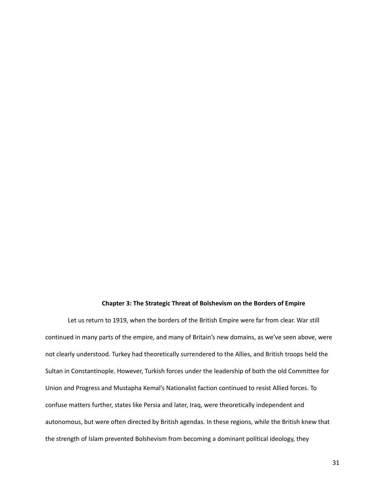#### **Chapter 3: The Strategic Threat of Bolshevism on the Borders of Empire**

Let us return to 1919, when the borders of the British Empire were far from clear. War still continued in many parts of the empire, and many of Britain's new domains, as we've seen above, were not clearly understood. Turkey had theoretically surrendered to the Allies, and British troops held the Sultan in Constantinople. However, Turkish forces under the leadership of both the old Committee for Union and Progress and Mustapha Kemal's Nationalist faction continued to resist Allied forces. To confuse matters further, states like Persia and later, Iraq, were theoretically independent and autonomous, but were often directed by British agendas. In these regions, while the British knew that the strength of Islam prevented Bolshevism from becoming a dominant political ideology, they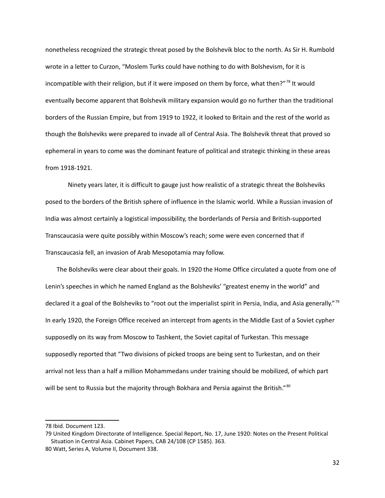nonetheless recognized the strategic threat posed by the Bolshevik bloc to the north. As Sir H. Rumbold wrote in a letter to Curzon, "Moslem Turks could have nothing to do with Bolshevism, for it is incompatible with their religion, but if it were imposed on them by force, what then?" $78$  It would eventually become apparent that Bolshevik military expansion would go no further than the traditional borders of the Russian Empire, but from 1919 to 1922, it looked to Britain and the rest of the world as though the Bolsheviks were prepared to invade all of Central Asia. The Bolshevik threat that proved so ephemeral in years to come was the dominant feature of political and strategic thinking in these areas from 1918-1921.

Ninety years later, it is difficult to gauge just how realistic of a strategic threat the Bolsheviks posed to the borders of the British sphere of influence in the Islamic world. While a Russian invasion of India was almost certainly a logistical impossibility, the borderlands of Persia and British-supported Transcaucasia were quite possibly within Moscow's reach; some were even concerned that if Transcaucasia fell, an invasion of Arab Mesopotamia may follow.

The Bolsheviks were clear about their goals. In 1920 the Home Office circulated a quote from one of Lenin's speeches in which he named England as the Bolsheviks' "greatest enemy in the world" and declared it a goal of the Bolsheviks to "root out the imperialist spirit in Persia, India, and Asia generally."<sup>[79](#page-31-1)</sup> In early 1920, the Foreign Office received an intercept from agents in the Middle East of a Soviet cypher supposedly on its way from Moscow to Tashkent, the Soviet capital of Turkestan. This message supposedly reported that "Two divisions of picked troops are being sent to Turkestan, and on their arrival not less than a half a million Mohammedans under training should be mobilized, of which part will be sent to Russia but the majority through Bokhara and Persia against the British."<sup>[80](#page-31-2)</sup>

<span id="page-31-0"></span><sup>78</sup> Ibid. Document 123.

<span id="page-31-2"></span><span id="page-31-1"></span><sup>79</sup> United Kingdom Directorate of Intelligence. Special Report, No. 17, June 1920: Notes on the Present Political Situation in Central Asia. Cabinet Papers, CAB 24/108 (CP 1585). 363. 80 Watt, Series A, Volume II, Document 338.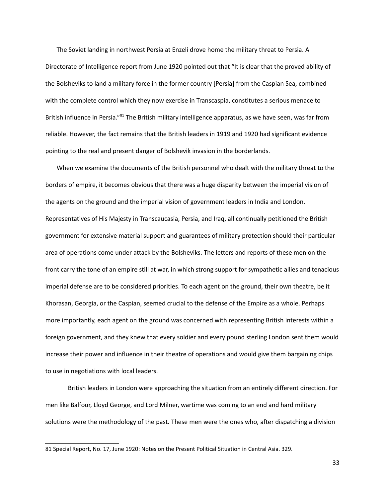The Soviet landing in northwest Persia at Enzeli drove home the military threat to Persia. A Directorate of Intelligence report from June 1920 pointed out that "It is clear that the proved ability of the Bolsheviks to land a military force in the former country [Persia] from the Caspian Sea, combined with the complete control which they now exercise in Transcaspia, constitutes a serious menace to British influence in Persia."<sup>[81](#page-32-0)</sup> The British military intelligence apparatus, as we have seen, was far from reliable. However, the fact remains that the British leaders in 1919 and 1920 had significant evidence pointing to the real and present danger of Bolshevik invasion in the borderlands.

When we examine the documents of the British personnel who dealt with the military threat to the borders of empire, it becomes obvious that there was a huge disparity between the imperial vision of the agents on the ground and the imperial vision of government leaders in India and London. Representatives of His Majesty in Transcaucasia, Persia, and Iraq, all continually petitioned the British government for extensive material support and guarantees of military protection should their particular area of operations come under attack by the Bolsheviks. The letters and reports of these men on the front carry the tone of an empire still at war, in which strong support for sympathetic allies and tenacious imperial defense are to be considered priorities. To each agent on the ground, their own theatre, be it Khorasan, Georgia, or the Caspian, seemed crucial to the defense of the Empire as a whole. Perhaps more importantly, each agent on the ground was concerned with representing British interests within a foreign government, and they knew that every soldier and every pound sterling London sent them would increase their power and influence in their theatre of operations and would give them bargaining chips to use in negotiations with local leaders.

British leaders in London were approaching the situation from an entirely different direction. For men like Balfour, Lloyd George, and Lord Milner, wartime was coming to an end and hard military solutions were the methodology of the past. These men were the ones who, after dispatching a division

<span id="page-32-0"></span><sup>81</sup> Special Report, No. 17, June 1920: Notes on the Present Political Situation in Central Asia. 329.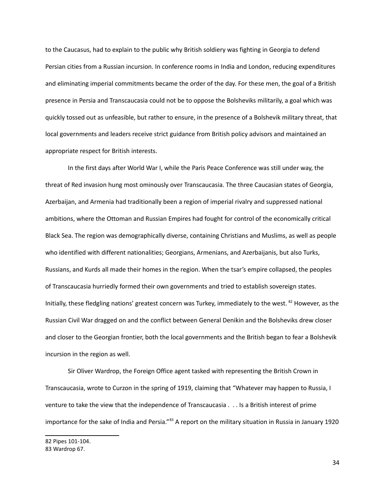to the Caucasus, had to explain to the public why British soldiery was fighting in Georgia to defend Persian cities from a Russian incursion. In conference rooms in India and London, reducing expenditures and eliminating imperial commitments became the order of the day. For these men, the goal of a British presence in Persia and Transcaucasia could not be to oppose the Bolsheviks militarily, a goal which was quickly tossed out as unfeasible, but rather to ensure, in the presence of a Bolshevik military threat, that local governments and leaders receive strict guidance from British policy advisors and maintained an appropriate respect for British interests.

In the first days after World War I, while the Paris Peace Conference was still under way, the threat of Red invasion hung most ominously over Transcaucasia. The three Caucasian states of Georgia, Azerbaijan, and Armenia had traditionally been a region of imperial rivalry and suppressed national ambitions, where the Ottoman and Russian Empires had fought for control of the economically critical Black Sea. The region was demographically diverse, containing Christians and Muslims, as well as people who identified with different nationalities; Georgians, Armenians, and Azerbaijanis, but also Turks, Russians, and Kurds all made their homes in the region. When the tsar's empire collapsed, the peoples of Transcaucasia hurriedly formed their own governments and tried to establish sovereign states. Initially, these fledgling nations' greatest concern was Turkey, immediately to the west. <sup>[82](#page-33-0)</sup> However, as the Russian Civil War dragged on and the conflict between General Denikin and the Bolsheviks drew closer and closer to the Georgian frontier, both the local governments and the British began to fear a Bolshevik incursion in the region as well.

Sir Oliver Wardrop, the Foreign Office agent tasked with representing the British Crown in Transcaucasia, wrote to Curzon in the spring of 1919, claiming that "Whatever may happen to Russia, I venture to take the view that the independence of Transcaucasia . . . Is a British interest of prime importance for the sake of India and Persia."<sup>[83](#page-33-1)</sup> A report on the military situation in Russia in January 1920

<span id="page-33-1"></span><span id="page-33-0"></span><sup>82</sup> Pipes 101-104.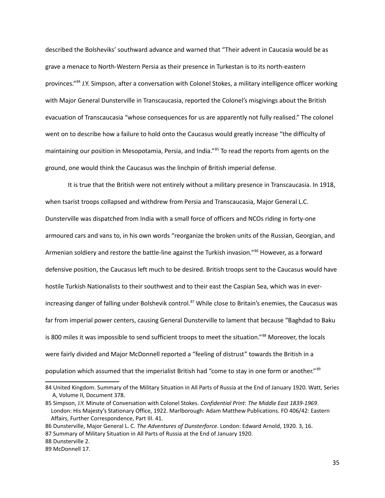described the Bolsheviks' southward advance and warned that "Their advent in Caucasia would be as grave a menace to North-Western Persia as their presence in Turkestan is to its north-eastern provinces."[84](#page-34-0) J.Y. Simpson, after a conversation with Colonel Stokes, a military intelligence officer working with Major General Dunsterville in Transcaucasia, reported the Colonel's misgivings about the British evacuation of Transcaucasia "whose consequences for us are apparently not fully realised." The colonel went on to describe how a failure to hold onto the Caucasus would greatly increase "the difficulty of maintaining our position in Mesopotamia, Persia, and India."<sup>[85](#page-34-1)</sup> To read the reports from agents on the ground, one would think the Caucasus was the linchpin of British imperial defense.

It is true that the British were not entirely without a military presence in Transcaucasia. In 1918, when tsarist troops collapsed and withdrew from Persia and Transcaucasia, Major General L.C. Dunsterville was dispatched from India with a small force of officers and NCOs riding in forty-one armoured cars and vans to, in his own words "reorganize the broken units of the Russian, Georgian, and Armenian soldiery and restore the battle-line against the Turkish invasion."<sup>[86](#page-34-2)</sup> However, as a forward defensive position, the Caucasus left much to be desired. British troops sent to the Caucasus would have hostile Turkish Nationalists to their southwest and to their east the Caspian Sea, which was in ever-increasing danger of falling under Bolshevik control.<sup>[87](#page-34-3)</sup> While close to Britain's enemies, the Caucasus was far from imperial power centers, causing General Dunsterville to lament that because "Baghdad to Baku is 800 miles it was impossible to send sufficient troops to meet the situation."<sup>[88](#page-34-4)</sup> Moreover, the locals were fairly divided and Major McDonnell reported a "feeling of distrust" towards the British in a population which assumed that the imperialist British had "come to stay in one form or another."<sup>[89](#page-34-5)</sup>

<span id="page-34-0"></span><sup>84</sup> United Kingdom. Summary of the Military Situation in All Parts of Russia at the End of January 1920. Watt, Series A, Volume II, Document 378.

<span id="page-34-1"></span><sup>85</sup> Simpson, J.Y. Minute of Conversation with Colonel Stokes. *Confidential Print: The Middle East 1839-1969*. London: His Majesty's Stationary Office, 1922. Marlborough: Adam Matthew Publications. FO 406/42: Eastern Affairs, Further Correspondence, Part III. 41.

<span id="page-34-3"></span><span id="page-34-2"></span><sup>86</sup> Dunsterville, Major General L. C. *The Adventures of Dunsterforce*. London: Edward Arnold, 1920. 3, 16. 87 Summary of Military Situation in All Parts of Russia at the End of January 1920.

<span id="page-34-4"></span><sup>88</sup> Dunsterville 2.

<span id="page-34-5"></span><sup>89</sup> McDonnell 17.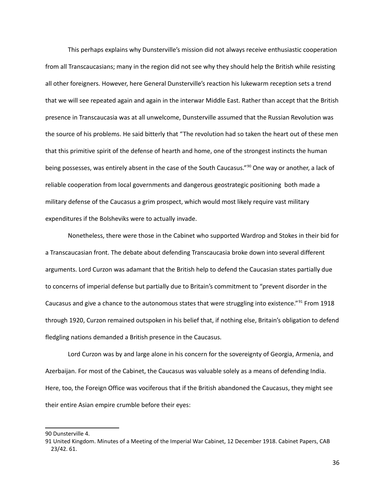This perhaps explains why Dunsterville's mission did not always receive enthusiastic cooperation from all Transcaucasians; many in the region did not see why they should help the British while resisting all other foreigners. However, here General Dunsterville's reaction his lukewarm reception sets a trend that we will see repeated again and again in the interwar Middle East. Rather than accept that the British presence in Transcaucasia was at all unwelcome, Dunsterville assumed that the Russian Revolution was the source of his problems. He said bitterly that "The revolution had so taken the heart out of these men that this primitive spirit of the defense of hearth and home, one of the strongest instincts the human being possesses, was entirely absent in the case of the South Caucasus."<sup>[90](#page-35-0)</sup> One way or another, a lack of reliable cooperation from local governments and dangerous geostrategic positioning both made a military defense of the Caucasus a grim prospect, which would most likely require vast military expenditures if the Bolsheviks were to actually invade.

Nonetheless, there were those in the Cabinet who supported Wardrop and Stokes in their bid for a Transcaucasian front. The debate about defending Transcaucasia broke down into several different arguments. Lord Curzon was adamant that the British help to defend the Caucasian states partially due to concerns of imperial defense but partially due to Britain's commitment to "prevent disorder in the Caucasus and give a chance to the autonomous states that were struggling into existence."<sup>[91](#page-35-1)</sup> From 1918 through 1920, Curzon remained outspoken in his belief that, if nothing else, Britain's obligation to defend fledgling nations demanded a British presence in the Caucasus.

Lord Curzon was by and large alone in his concern for the sovereignty of Georgia, Armenia, and Azerbaijan. For most of the Cabinet, the Caucasus was valuable solely as a means of defending India. Here, too, the Foreign Office was vociferous that if the British abandoned the Caucasus, they might see their entire Asian empire crumble before their eyes:

<span id="page-35-0"></span><sup>90</sup> Dunsterville 4.

<span id="page-35-1"></span><sup>91</sup> United Kingdom. Minutes of a Meeting of the Imperial War Cabinet, 12 December 1918. Cabinet Papers, CAB 23/42. 61.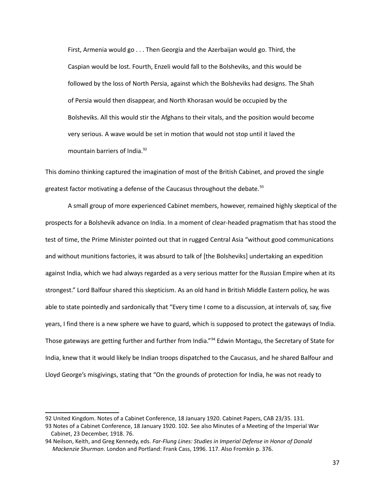First, Armenia would go . . . Then Georgia and the Azerbaijan would go. Third, the Caspian would be lost. Fourth, Enzeli would fall to the Bolsheviks, and this would be followed by the loss of North Persia, against which the Bolsheviks had designs. The Shah of Persia would then disappear, and North Khorasan would be occupied by the Bolsheviks. All this would stir the Afghans to their vitals, and the position would become very serious. A wave would be set in motion that would not stop until it laved the mountain barriers of India.<sup>[92](#page-36-0)</sup>

This domino thinking captured the imagination of most of the British Cabinet, and proved the single greatest factor motivating a defense of the Caucasus throughout the debate.<sup>[93](#page-36-1)</sup>

A small group of more experienced Cabinet members, however, remained highly skeptical of the prospects for a Bolshevik advance on India. In a moment of clear-headed pragmatism that has stood the test of time, the Prime Minister pointed out that in rugged Central Asia "without good communications and without munitions factories, it was absurd to talk of [the Bolsheviks] undertaking an expedition against India, which we had always regarded as a very serious matter for the Russian Empire when at its strongest." Lord Balfour shared this skepticism. As an old hand in British Middle Eastern policy, he was able to state pointedly and sardonically that "Every time I come to a discussion, at intervals of, say, five years, I find there is a new sphere we have to guard, which is supposed to protect the gateways of India. Those gateways are getting further and further from India."<sup>[94](#page-36-2)</sup> Edwin Montagu, the Secretary of State for India, knew that it would likely be Indian troops dispatched to the Caucasus, and he shared Balfour and Lloyd George's misgivings, stating that "On the grounds of protection for India, he was not ready to

<span id="page-36-0"></span><sup>92</sup> United Kingdom. Notes of a Cabinet Conference, 18 January 1920. Cabinet Papers, CAB 23/35. 131.

<span id="page-36-2"></span><span id="page-36-1"></span><sup>93</sup> Notes of a Cabinet Conference, 18 January 1920. 102. See also Minutes of a Meeting of the Imperial War Cabinet, 23 December, 1918. 76.

<sup>94</sup> Neilson, Keith, and Greg Kennedy, eds. *Far-Flung Lines: Studies in Imperial Defense in Honor of Donald Mackenzie Shurman*. London and Portland: Frank Cass, 1996. 117. Also Fromkin p. 376.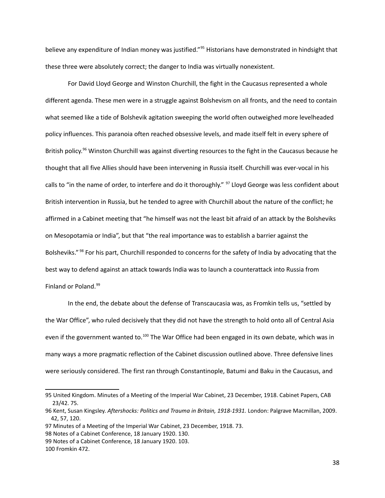believe any expenditure of Indian money was justified."<sup>[95](#page-37-0)</sup> Historians have demonstrated in hindsight that these three were absolutely correct; the danger to India was virtually nonexistent.

For David Lloyd George and Winston Churchill, the fight in the Caucasus represented a whole different agenda. These men were in a struggle against Bolshevism on all fronts, and the need to contain what seemed like a tide of Bolshevik agitation sweeping the world often outweighed more levelheaded policy influences. This paranoia often reached obsessive levels, and made itself felt in every sphere of British policy.<sup>[96](#page-37-1)</sup> Winston Churchill was against diverting resources to the fight in the Caucasus because he thought that all five Allies should have been intervening in Russia itself. Churchill was ever-vocal in his calls to "in the name of order, to interfere and do it thoroughly." <sup>[97](#page-37-2)</sup> Lloyd George was less confident about British intervention in Russia, but he tended to agree with Churchill about the nature of the conflict; he affirmed in a Cabinet meeting that "he himself was not the least bit afraid of an attack by the Bolsheviks on Mesopotamia or India", but that "the real importance was to establish a barrier against the Bolsheviks." <sup>[98](#page-37-3)</sup> For his part, Churchill responded to concerns for the safety of India by advocating that the best way to defend against an attack towards India was to launch a counterattack into Russia from Finland or Poland.[99](#page-37-4)

In the end, the debate about the defense of Transcaucasia was, as Fromkin tells us, "settled by the War Office", who ruled decisively that they did not have the strength to hold onto all of Central Asia even if the government wanted to.<sup>[100](#page-37-5)</sup> The War Office had been engaged in its own debate, which was in many ways a more pragmatic reflection of the Cabinet discussion outlined above. Three defensive lines were seriously considered. The first ran through Constantinople, Batumi and Baku in the Caucasus, and

<span id="page-37-0"></span><sup>95</sup> United Kingdom. Minutes of a Meeting of the Imperial War Cabinet, 23 December, 1918. Cabinet Papers, CAB 23/42. 75.

<span id="page-37-1"></span><sup>96</sup> Kent, Susan Kingsley. *Aftershocks: Politics and Trauma in Britain, 1918-1931.* London: Palgrave Macmillan, 2009. 42, 57, 120.

<span id="page-37-2"></span><sup>97</sup> Minutes of a Meeting of the Imperial War Cabinet, 23 December, 1918. 73.

<span id="page-37-3"></span><sup>98</sup> Notes of a Cabinet Conference, 18 January 1920. 130.

<span id="page-37-4"></span><sup>99</sup> Notes of a Cabinet Conference, 18 January 1920. 103.

<span id="page-37-5"></span><sup>100</sup> Fromkin 472.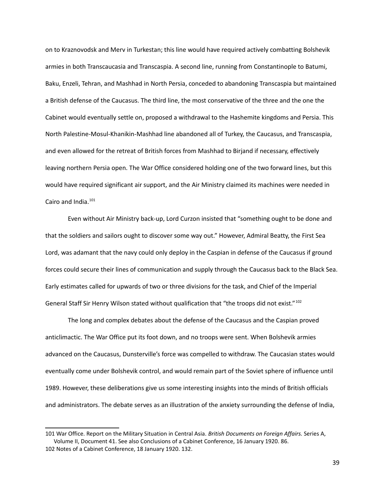on to Kraznovodsk and Merv in Turkestan; this line would have required actively combatting Bolshevik armies in both Transcaucasia and Transcaspia. A second line, running from Constantinople to Batumi, Baku, Enzeli, Tehran, and Mashhad in North Persia, conceded to abandoning Transcaspia but maintained a British defense of the Caucasus. The third line, the most conservative of the three and the one the Cabinet would eventually settle on, proposed a withdrawal to the Hashemite kingdoms and Persia. This North Palestine-Mosul-Khanikin-Mashhad line abandoned all of Turkey, the Caucasus, and Transcaspia, and even allowed for the retreat of British forces from Mashhad to Birjand if necessary, effectively leaving northern Persia open. The War Office considered holding one of the two forward lines, but this would have required significant air support, and the Air Ministry claimed its machines were needed in Cairo and India.[101](#page-38-0)

Even without Air Ministry back-up, Lord Curzon insisted that "something ought to be done and that the soldiers and sailors ought to discover some way out." However, Admiral Beatty, the First Sea Lord, was adamant that the navy could only deploy in the Caspian in defense of the Caucasus if ground forces could secure their lines of communication and supply through the Caucasus back to the Black Sea. Early estimates called for upwards of two or three divisions for the task, and Chief of the Imperial General Staff Sir Henry Wilson stated without qualification that "the troops did not exist."<sup>[102](#page-38-1)</sup>

The long and complex debates about the defense of the Caucasus and the Caspian proved anticlimactic. The War Office put its foot down, and no troops were sent. When Bolshevik armies advanced on the Caucasus, Dunsterville's force was compelled to withdraw. The Caucasian states would eventually come under Bolshevik control, and would remain part of the Soviet sphere of influence until 1989. However, these deliberations give us some interesting insights into the minds of British officials and administrators. The debate serves as an illustration of the anxiety surrounding the defense of India,

<span id="page-38-1"></span><span id="page-38-0"></span><sup>101</sup> War Office. Report on the Military Situation in Central Asia. *British Documents on Foreign Affairs.* Series A, Volume II, Document 41. See also Conclusions of a Cabinet Conference, 16 January 1920. 86. 102 Notes of a Cabinet Conference, 18 January 1920. 132.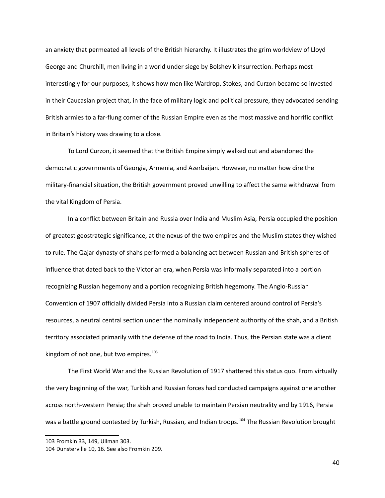an anxiety that permeated all levels of the British hierarchy. It illustrates the grim worldview of Lloyd George and Churchill, men living in a world under siege by Bolshevik insurrection. Perhaps most interestingly for our purposes, it shows how men like Wardrop, Stokes, and Curzon became so invested in their Caucasian project that, in the face of military logic and political pressure, they advocated sending British armies to a far-flung corner of the Russian Empire even as the most massive and horrific conflict in Britain's history was drawing to a close.

To Lord Curzon, it seemed that the British Empire simply walked out and abandoned the democratic governments of Georgia, Armenia, and Azerbaijan. However, no matter how dire the military-financial situation, the British government proved unwilling to affect the same withdrawal from the vital Kingdom of Persia.

In a conflict between Britain and Russia over India and Muslim Asia, Persia occupied the position of greatest geostrategic significance, at the nexus of the two empires and the Muslim states they wished to rule. The Qajar dynasty of shahs performed a balancing act between Russian and British spheres of influence that dated back to the Victorian era, when Persia was informally separated into a portion recognizing Russian hegemony and a portion recognizing British hegemony. The Anglo-Russian Convention of 1907 officially divided Persia into a Russian claim centered around control of Persia's resources, a neutral central section under the nominally independent authority of the shah, and a British territory associated primarily with the defense of the road to India. Thus, the Persian state was a client kingdom of not one, but two empires. $^{103}$  $^{103}$  $^{103}$ 

The First World War and the Russian Revolution of 1917 shattered this status quo. From virtually the very beginning of the war, Turkish and Russian forces had conducted campaigns against one another across north-western Persia; the shah proved unable to maintain Persian neutrality and by 1916, Persia was a battle ground contested by Turkish, Russian, and Indian troops.<sup>[104](#page-39-1)</sup> The Russian Revolution brought

<span id="page-39-0"></span><sup>103</sup> Fromkin 33, 149, Ullman 303.

<span id="page-39-1"></span><sup>104</sup> Dunsterville 10, 16. See also Fromkin 209.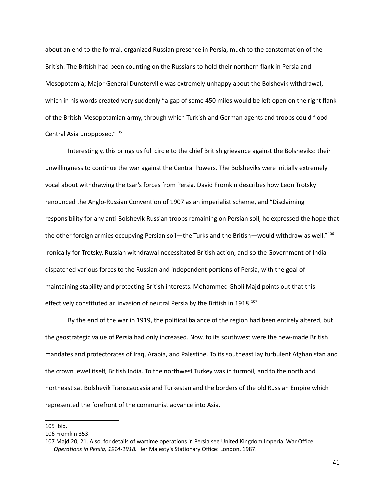about an end to the formal, organized Russian presence in Persia, much to the consternation of the British. The British had been counting on the Russians to hold their northern flank in Persia and Mesopotamia; Major General Dunsterville was extremely unhappy about the Bolshevik withdrawal, which in his words created very suddenly "a gap of some 450 miles would be left open on the right flank of the British Mesopotamian army, through which Turkish and German agents and troops could flood Central Asia unopposed."<sup>[105](#page-40-0)</sup>

Interestingly, this brings us full circle to the chief British grievance against the Bolsheviks: their unwillingness to continue the war against the Central Powers. The Bolsheviks were initially extremely vocal about withdrawing the tsar's forces from Persia. David Fromkin describes how Leon Trotsky renounced the Anglo-Russian Convention of 1907 as an imperialist scheme, and "Disclaiming responsibility for any anti-Bolshevik Russian troops remaining on Persian soil, he expressed the hope that the other foreign armies occupying Persian soil—the Turks and the British—would withdraw as well."<sup>[106](#page-40-1)</sup> Ironically for Trotsky, Russian withdrawal necessitated British action, and so the Government of India dispatched various forces to the Russian and independent portions of Persia, with the goal of maintaining stability and protecting British interests. Mohammed Gholi Majd points out that this effectively constituted an invasion of neutral Persia by the British in 1918.<sup>[107](#page-40-2)</sup>

By the end of the war in 1919, the political balance of the region had been entirely altered, but the geostrategic value of Persia had only increased. Now, to its southwest were the new-made British mandates and protectorates of Iraq, Arabia, and Palestine. To its southeast lay turbulent Afghanistan and the crown jewel itself, British India. To the northwest Turkey was in turmoil, and to the north and northeast sat Bolshevik Transcaucasia and Turkestan and the borders of the old Russian Empire which represented the forefront of the communist advance into Asia.

<span id="page-40-0"></span><sup>105</sup> Ibid.

<span id="page-40-1"></span><sup>106</sup> Fromkin 353.

<span id="page-40-2"></span><sup>107</sup> Majd 20, 21. Also, for details of wartime operations in Persia see United Kingdom Imperial War Office. *Operations in Persia, 1914-1918.* Her Majesty's Stationary Office: London, 1987.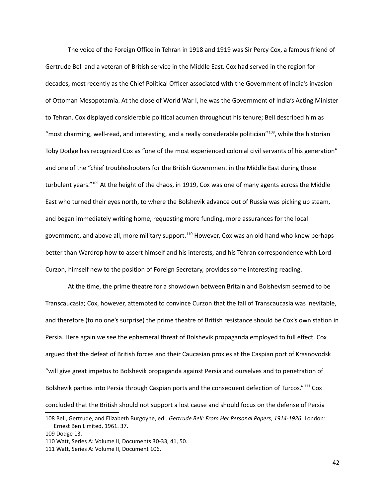The voice of the Foreign Office in Tehran in 1918 and 1919 was Sir Percy Cox, a famous friend of Gertrude Bell and a veteran of British service in the Middle East. Cox had served in the region for decades, most recently as the Chief Political Officer associated with the Government of India's invasion of Ottoman Mesopotamia. At the close of World War I, he was the Government of India's Acting Minister to Tehran. Cox displayed considerable political acumen throughout his tenure; Bell described him as "most charming, well-read, and interesting, and a really considerable politician"<sup>[108](#page-41-0)</sup>, while the historian Toby Dodge has recognized Cox as "one of the most experienced colonial civil servants of his generation" and one of the "chief troubleshooters for the British Government in the Middle East during these turbulent years."<sup>[109](#page-41-1)</sup> At the height of the chaos, in 1919, Cox was one of many agents across the Middle East who turned their eyes north, to where the Bolshevik advance out of Russia was picking up steam, and began immediately writing home, requesting more funding, more assurances for the local government, and above all, more military support.<sup>[110](#page-41-2)</sup> However, Cox was an old hand who knew perhaps better than Wardrop how to assert himself and his interests, and his Tehran correspondence with Lord Curzon, himself new to the position of Foreign Secretary, provides some interesting reading.

At the time, the prime theatre for a showdown between Britain and Bolshevism seemed to be Transcaucasia; Cox, however, attempted to convince Curzon that the fall of Transcaucasia was inevitable, and therefore (to no one's surprise) the prime theatre of British resistance should be Cox's own station in Persia. Here again we see the ephemeral threat of Bolshevik propaganda employed to full effect. Cox argued that the defeat of British forces and their Caucasian proxies at the Caspian port of Krasnovodsk "will give great impetus to Bolshevik propaganda against Persia and ourselves and to penetration of Bolshevik parties into Persia through Caspian ports and the consequent defection of Turcos."[111](#page-41-3) Cox concluded that the British should not support a lost cause and should focus on the defense of Persia 108 Bell, Gertrude, and Elizabeth Burgoyne, ed.. *Gertrude Bell: From Her Personal Papers, 1914-1926.* London: Ernest Ben Limited, 1961. 37.

<span id="page-41-1"></span><span id="page-41-0"></span><sup>109</sup> Dodge 13.

<span id="page-41-2"></span><sup>110</sup> Watt, Series A: Volume II, Documents 30-33, 41, 50.

<span id="page-41-3"></span><sup>111</sup> Watt, Series A: Volume II, Document 106.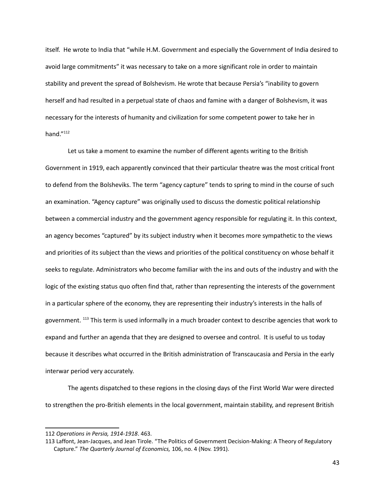itself. He wrote to India that "while H.M. Government and especially the Government of India desired to avoid large commitments" it was necessary to take on a more significant role in order to maintain stability and prevent the spread of Bolshevism. He wrote that because Persia's "inability to govern herself and had resulted in a perpetual state of chaos and famine with a danger of Bolshevism, it was necessary for the interests of humanity and civilization for some competent power to take her in hand $^{\prime\prime 112}$  $^{\prime\prime 112}$  $^{\prime\prime 112}$ 

Let us take a moment to examine the number of different agents writing to the British Government in 1919, each apparently convinced that their particular theatre was the most critical front to defend from the Bolsheviks. The term "agency capture" tends to spring to mind in the course of such an examination. "Agency capture" was originally used to discuss the domestic political relationship between a commercial industry and the government agency responsible for regulating it. In this context, an agency becomes "captured" by its subject industry when it becomes more sympathetic to the views and priorities of its subject than the views and priorities of the political constituency on whose behalf it seeks to regulate. Administrators who become familiar with the ins and outs of the industry and with the logic of the existing status quo often find that, rather than representing the interests of the government in a particular sphere of the economy, they are representing their industry's interests in the halls of government. [113](#page-42-1) This term is used informally in a much broader context to describe agencies that work to expand and further an agenda that they are designed to oversee and control. It is useful to us today because it describes what occurred in the British administration of Transcaucasia and Persia in the early interwar period very accurately.

The agents dispatched to these regions in the closing days of the First World War were directed to strengthen the pro-British elements in the local government, maintain stability, and represent British

<span id="page-42-0"></span><sup>112</sup> *Operations in Persia, 1914-1918*. 463.

<span id="page-42-1"></span><sup>113</sup> Laffont, Jean-Jacques, and Jean Tirole. "The Politics of Government Decision-Making: A Theory of Regulatory Capture." *The Quarterly Journal of Economics,* 106, no. 4 (Nov. 1991).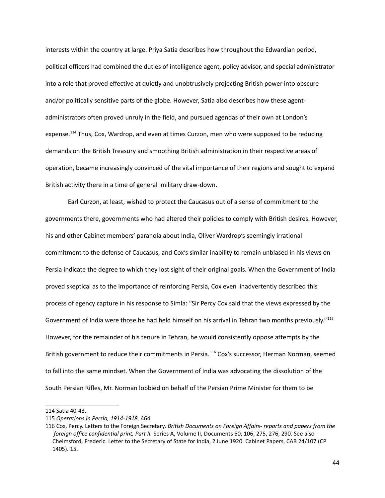interests within the country at large. Priya Satia describes how throughout the Edwardian period, political officers had combined the duties of intelligence agent, policy advisor, and special administrator into a role that proved effective at quietly and unobtrusively projecting British power into obscure and/or politically sensitive parts of the globe. However, Satia also describes how these agentadministrators often proved unruly in the field, and pursued agendas of their own at London's expense.<sup>[114](#page-43-0)</sup> Thus, Cox, Wardrop, and even at times Curzon, men who were supposed to be reducing demands on the British Treasury and smoothing British administration in their respective areas of operation, became increasingly convinced of the vital importance of their regions and sought to expand British activity there in a time of general military draw-down.

Earl Curzon, at least, wished to protect the Caucasus out of a sense of commitment to the governments there, governments who had altered their policies to comply with British desires. However, his and other Cabinet members' paranoia about India, Oliver Wardrop's seemingly irrational commitment to the defense of Caucasus, and Cox's similar inability to remain unbiased in his views on Persia indicate the degree to which they lost sight of their original goals. When the Government of India proved skeptical as to the importance of reinforcing Persia, Cox even inadvertently described this process of agency capture in his response to Simla: "Sir Percy Cox said that the views expressed by the Government of India were those he had held himself on his arrival in Tehran two months previously."<sup>[115](#page-43-1)</sup> However, for the remainder of his tenure in Tehran, he would consistently oppose attempts by the British government to reduce their commitments in Persia.<sup>[116](#page-43-2)</sup> Cox's successor, Herman Norman, seemed to fall into the same mindset. When the Government of India was advocating the dissolution of the South Persian Rifles, Mr. Norman lobbied on behalf of the Persian Prime Minister for them to be

<span id="page-43-0"></span><sup>114</sup> Satia 40-43.

<span id="page-43-1"></span><sup>115</sup> *Operations in Persia, 1914-1918*. 464.

<span id="page-43-2"></span><sup>116</sup> Cox, Percy. Letters to the Foreign Secretary. *British Documents on Foreign Affairs- reports and papers from the foreign office confidential print, Part II.* Series A, Volume II, Documents 50, 106, 275, 276, 290. See also Chelmsford, Frederic. Letter to the Secretary of State for India, 2 June 1920. Cabinet Papers, CAB 24/107 (CP 1405). 15.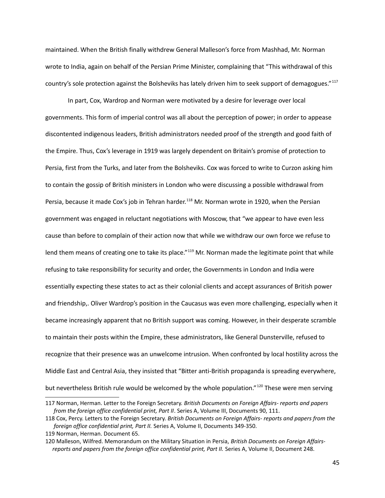maintained. When the British finally withdrew General Malleson's force from Mashhad, Mr. Norman wrote to India, again on behalf of the Persian Prime Minister, complaining that "This withdrawal of this country's sole protection against the Bolsheviks has lately driven him to seek support of demagogues."[117](#page-44-0)

In part, Cox, Wardrop and Norman were motivated by a desire for leverage over local governments. This form of imperial control was all about the perception of power; in order to appease discontented indigenous leaders, British administrators needed proof of the strength and good faith of the Empire. Thus, Cox's leverage in 1919 was largely dependent on Britain's promise of protection to Persia, first from the Turks, and later from the Bolsheviks. Cox was forced to write to Curzon asking him to contain the gossip of British ministers in London who were discussing a possible withdrawal from Persia, because it made Cox's job in Tehran harder.<sup>[118](#page-44-1)</sup> Mr. Norman wrote in 1920, when the Persian government was engaged in reluctant negotiations with Moscow, that "we appear to have even less cause than before to complain of their action now that while we withdraw our own force we refuse to lend them means of creating one to take its place."<sup>[119](#page-44-2)</sup> Mr. Norman made the legitimate point that while refusing to take responsibility for security and order, the Governments in London and India were essentially expecting these states to act as their colonial clients and accept assurances of British power and friendship,. Oliver Wardrop's position in the Caucasus was even more challenging, especially when it became increasingly apparent that no British support was coming. However, in their desperate scramble to maintain their posts within the Empire, these administrators, like General Dunsterville, refused to recognize that their presence was an unwelcome intrusion. When confronted by local hostility across the Middle East and Central Asia, they insisted that "Bitter anti-British propaganda is spreading everywhere, but nevertheless British rule would be welcomed by the whole population."<sup>[120](#page-44-3)</sup> These were men serving

<span id="page-44-0"></span><sup>117</sup> Norman, Herman. Letter to the Foreign Secretary. *British Documents on Foreign Affairs- reports and papers from the foreign office confidential print, Part II*. Series A, Volume III, Documents 90, 111.

<span id="page-44-1"></span><sup>118</sup> Cox, Percy. Letters to the Foreign Secretary. *British Documents on Foreign Affairs- reports and papers from the foreign office confidential print, Part II.* Series A, Volume II, Documents 349-350.

<span id="page-44-2"></span><sup>119</sup> Norman, Herman. Document 65.

<span id="page-44-3"></span><sup>120</sup> Malleson, Wilfred. Memorandum on the Military Situation in Persia, *British Documents on Foreign Affairs reports and papers from the foreign office confidential print, Part II.* Series A, Volume II, Document 248.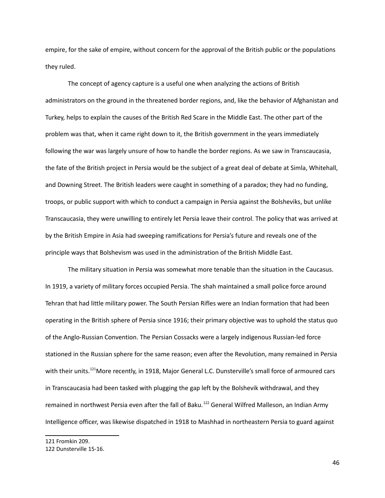empire, for the sake of empire, without concern for the approval of the British public or the populations they ruled.

The concept of agency capture is a useful one when analyzing the actions of British administrators on the ground in the threatened border regions, and, like the behavior of Afghanistan and Turkey, helps to explain the causes of the British Red Scare in the Middle East. The other part of the problem was that, when it came right down to it, the British government in the years immediately following the war was largely unsure of how to handle the border regions. As we saw in Transcaucasia, the fate of the British project in Persia would be the subject of a great deal of debate at Simla, Whitehall, and Downing Street. The British leaders were caught in something of a paradox; they had no funding, troops, or public support with which to conduct a campaign in Persia against the Bolsheviks, but unlike Transcaucasia, they were unwilling to entirely let Persia leave their control. The policy that was arrived at by the British Empire in Asia had sweeping ramifications for Persia's future and reveals one of the principle ways that Bolshevism was used in the administration of the British Middle East.

The military situation in Persia was somewhat more tenable than the situation in the Caucasus. In 1919, a variety of military forces occupied Persia. The shah maintained a small police force around Tehran that had little military power. The South Persian Rifles were an Indian formation that had been operating in the British sphere of Persia since 1916; their primary objective was to uphold the status quo of the Anglo-Russian Convention. The Persian Cossacks were a largely indigenous Russian-led force stationed in the Russian sphere for the same reason; even after the Revolution, many remained in Persia with their units.<sup>[121](#page-45-0)</sup>More recently, in 1918, Major General L.C. Dunsterville's small force of armoured cars in Transcaucasia had been tasked with plugging the gap left by the Bolshevik withdrawal, and they remained in northwest Persia even after the fall of Baku.<sup>[122](#page-45-1)</sup> General Wilfred Malleson, an Indian Army Intelligence officer, was likewise dispatched in 1918 to Mashhad in northeastern Persia to guard against

<span id="page-45-0"></span>121 Fromkin 209.

<span id="page-45-1"></span><sup>122</sup> Dunsterville 15-16.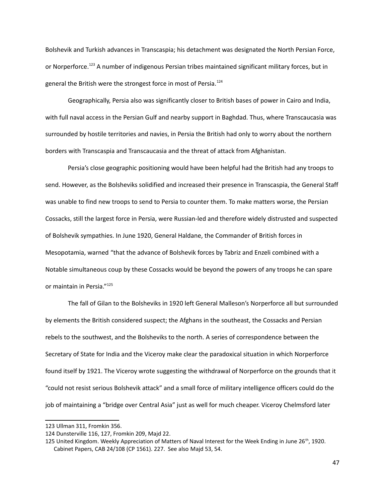Bolshevik and Turkish advances in Transcaspia; his detachment was designated the North Persian Force, or Norperforce.<sup>[123](#page-46-0)</sup> A number of indigenous Persian tribes maintained significant military forces, but in general the British were the strongest force in most of Persia.[124](#page-46-1)

Geographically, Persia also was significantly closer to British bases of power in Cairo and India, with full naval access in the Persian Gulf and nearby support in Baghdad. Thus, where Transcaucasia was surrounded by hostile territories and navies, in Persia the British had only to worry about the northern borders with Transcaspia and Transcaucasia and the threat of attack from Afghanistan.

Persia's close geographic positioning would have been helpful had the British had any troops to send. However, as the Bolsheviks solidified and increased their presence in Transcaspia, the General Staff was unable to find new troops to send to Persia to counter them. To make matters worse, the Persian Cossacks, still the largest force in Persia, were Russian-led and therefore widely distrusted and suspected of Bolshevik sympathies. In June 1920, General Haldane, the Commander of British forces in Mesopotamia, warned "that the advance of Bolshevik forces by Tabriz and Enzeli combined with a Notable simultaneous coup by these Cossacks would be beyond the powers of any troops he can spare or maintain in Persia."[125](#page-46-2)

The fall of Gilan to the Bolsheviks in 1920 left General Malleson's Norperforce all but surrounded by elements the British considered suspect; the Afghans in the southeast, the Cossacks and Persian rebels to the southwest, and the Bolsheviks to the north. A series of correspondence between the Secretary of State for India and the Viceroy make clear the paradoxical situation in which Norperforce found itself by 1921. The Viceroy wrote suggesting the withdrawal of Norperforce on the grounds that it "could not resist serious Bolshevik attack" and a small force of military intelligence officers could do the job of maintaining a "bridge over Central Asia" just as well for much cheaper. Viceroy Chelmsford later

<span id="page-46-0"></span><sup>123</sup> Ullman 311, Fromkin 356.

<span id="page-46-1"></span><sup>124</sup> Dunsterville 116, 127, Fromkin 209, Majd 22.

<span id="page-46-2"></span><sup>125</sup> United Kingdom. Weekly Appreciation of Matters of Naval Interest for the Week Ending in June 26<sup>th</sup>, 1920. Cabinet Papers, CAB 24/108 (CP 1561). 227. See also Majd 53, 54.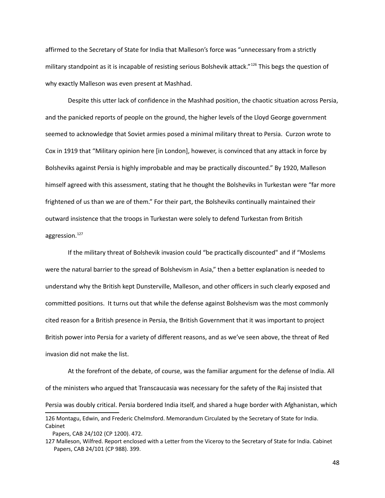affirmed to the Secretary of State for India that Malleson's force was "unnecessary from a strictly military standpoint as it is incapable of resisting serious Bolshevik attack."[126](#page-47-0) This begs the question of why exactly Malleson was even present at Mashhad.

Despite this utter lack of confidence in the Mashhad position, the chaotic situation across Persia, and the panicked reports of people on the ground, the higher levels of the Lloyd George government seemed to acknowledge that Soviet armies posed a minimal military threat to Persia. Curzon wrote to Cox in 1919 that "Military opinion here [in London], however, is convinced that any attack in force by Bolsheviks against Persia is highly improbable and may be practically discounted." By 1920, Malleson himself agreed with this assessment, stating that he thought the Bolsheviks in Turkestan were "far more frightened of us than we are of them." For their part, the Bolsheviks continually maintained their outward insistence that the troops in Turkestan were solely to defend Turkestan from British aggression.<sup>[127](#page-47-1)</sup>

If the military threat of Bolshevik invasion could "be practically discounted" and if "Moslems were the natural barrier to the spread of Bolshevism in Asia," then a better explanation is needed to understand why the British kept Dunsterville, Malleson, and other officers in such clearly exposed and committed positions. It turns out that while the defense against Bolshevism was the most commonly cited reason for a British presence in Persia, the British Government that it was important to project British power into Persia for a variety of different reasons, and as we've seen above, the threat of Red invasion did not make the list.

At the forefront of the debate, of course, was the familiar argument for the defense of India. All of the ministers who argued that Transcaucasia was necessary for the safety of the Raj insisted that Persia was doubly critical. Persia bordered India itself, and shared a huge border with Afghanistan, which

<span id="page-47-0"></span><sup>126</sup> Montagu, Edwin, and Frederic Chelmsford. Memorandum Circulated by the Secretary of State for India. Cabinet

<span id="page-47-1"></span>Papers, CAB 24/102 (CP 1200). 472.

<sup>127</sup> Malleson, Wilfred. Report enclosed with a Letter from the Viceroy to the Secretary of State for India. Cabinet Papers, CAB 24/101 (CP 988). 399.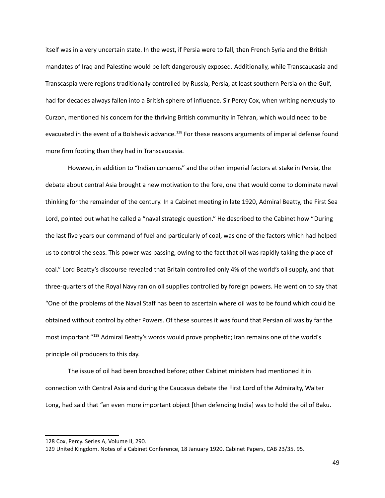itself was in a very uncertain state. In the west, if Persia were to fall, then French Syria and the British mandates of Iraq and Palestine would be left dangerously exposed. Additionally, while Transcaucasia and Transcaspia were regions traditionally controlled by Russia, Persia, at least southern Persia on the Gulf, had for decades always fallen into a British sphere of influence. Sir Percy Cox, when writing nervously to Curzon, mentioned his concern for the thriving British community in Tehran, which would need to be evacuated in the event of a Bolshevik advance.<sup>[128](#page-48-0)</sup> For these reasons arguments of imperial defense found more firm footing than they had in Transcaucasia.

However, in addition to "Indian concerns" and the other imperial factors at stake in Persia, the debate about central Asia brought a new motivation to the fore, one that would come to dominate naval thinking for the remainder of the century. In a Cabinet meeting in late 1920, Admiral Beatty, the First Sea Lord, pointed out what he called a "naval strategic question." He described to the Cabinet how "During the last five years our command of fuel and particularly of coal, was one of the factors which had helped us to control the seas. This power was passing, owing to the fact that oil was rapidly taking the place of coal." Lord Beatty's discourse revealed that Britain controlled only 4% of the world's oil supply, and that three-quarters of the Royal Navy ran on oil supplies controlled by foreign powers. He went on to say that "One of the problems of the Naval Staff has been to ascertain where oil was to be found which could be obtained without control by other Powers. Of these sources it was found that Persian oil was by far the most important."[129](#page-48-1) Admiral Beatty's words would prove prophetic; Iran remains one of the world's principle oil producers to this day.

The issue of oil had been broached before; other Cabinet ministers had mentioned it in connection with Central Asia and during the Caucasus debate the First Lord of the Admiralty, Walter Long, had said that "an even more important object [than defending India] was to hold the oil of Baku.

<span id="page-48-0"></span><sup>128</sup> Cox, Percy. Series A, Volume II, 290.

<span id="page-48-1"></span><sup>129</sup> United Kingdom. Notes of a Cabinet Conference, 18 January 1920. Cabinet Papers, CAB 23/35. 95.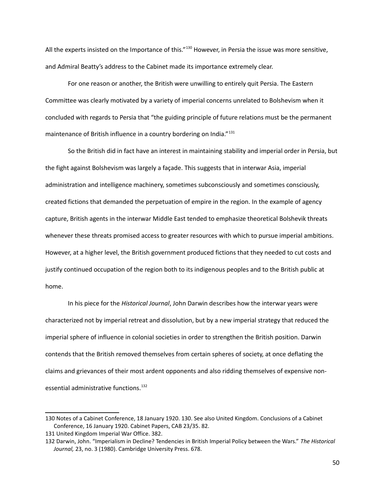All the experts insisted on the Importance of this."<sup>[130](#page-49-0)</sup> However, in Persia the issue was more sensitive, and Admiral Beatty's address to the Cabinet made its importance extremely clear.

For one reason or another, the British were unwilling to entirely quit Persia. The Eastern Committee was clearly motivated by a variety of imperial concerns unrelated to Bolshevism when it concluded with regards to Persia that "the guiding principle of future relations must be the permanent maintenance of British influence in a country bordering on India."<sup>[131](#page-49-1)</sup>

So the British did in fact have an interest in maintaining stability and imperial order in Persia, but the fight against Bolshevism was largely a façade. This suggests that in interwar Asia, imperial administration and intelligence machinery, sometimes subconsciously and sometimes consciously, created fictions that demanded the perpetuation of empire in the region. In the example of agency capture, British agents in the interwar Middle East tended to emphasize theoretical Bolshevik threats whenever these threats promised access to greater resources with which to pursue imperial ambitions. However, at a higher level, the British government produced fictions that they needed to cut costs and justify continued occupation of the region both to its indigenous peoples and to the British public at home.

In his piece for the *Historical Journal*, John Darwin describes how the interwar years were characterized not by imperial retreat and dissolution, but by a new imperial strategy that reduced the imperial sphere of influence in colonial societies in order to strengthen the British position. Darwin contends that the British removed themselves from certain spheres of society, at once deflating the claims and grievances of their most ardent opponents and also ridding themselves of expensive non-essential administrative functions.<sup>[132](#page-49-2)</sup>

<span id="page-49-0"></span><sup>130</sup> Notes of a Cabinet Conference, 18 January 1920. 130. See also United Kingdom. Conclusions of a Cabinet Conference, 16 January 1920. Cabinet Papers, CAB 23/35. 82.

<span id="page-49-1"></span><sup>131</sup> United Kingdom Imperial War Office. 382.

<span id="page-49-2"></span><sup>132</sup> Darwin, John. "Imperialism in Decline? Tendencies in British Imperial Policy between the Wars." *The Historical Journal,* 23, no. 3 (1980). Cambridge University Press. 678.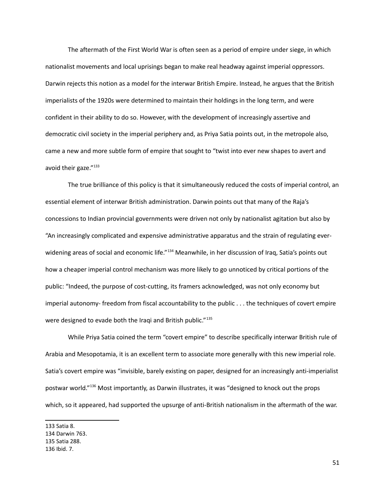The aftermath of the First World War is often seen as a period of empire under siege, in which nationalist movements and local uprisings began to make real headway against imperial oppressors. Darwin rejects this notion as a model for the interwar British Empire. Instead, he argues that the British imperialists of the 1920s were determined to maintain their holdings in the long term, and were confident in their ability to do so. However, with the development of increasingly assertive and democratic civil society in the imperial periphery and, as Priya Satia points out, in the metropole also, came a new and more subtle form of empire that sought to "twist into ever new shapes to avert and avoid their gaze."[133](#page-50-0)

The true brilliance of this policy is that it simultaneously reduced the costs of imperial control, an essential element of interwar British administration. Darwin points out that many of the Raja's concessions to Indian provincial governments were driven not only by nationalist agitation but also by "An increasingly complicated and expensive administrative apparatus and the strain of regulating ever-widening areas of social and economic life."<sup>[134](#page-50-1)</sup> Meanwhile, in her discussion of Iraq, Satia's points out how a cheaper imperial control mechanism was more likely to go unnoticed by critical portions of the public: "Indeed, the purpose of cost-cutting, its framers acknowledged, was not only economy but imperial autonomy- freedom from fiscal accountability to the public . . . the techniques of covert empire were designed to evade both the Iraqi and British public."<sup>[135](#page-50-2)</sup>

While Priya Satia coined the term "covert empire" to describe specifically interwar British rule of Arabia and Mesopotamia, it is an excellent term to associate more generally with this new imperial role. Satia's covert empire was "invisible, barely existing on paper, designed for an increasingly anti-imperialist postwar world."[136](#page-50-3) Most importantly, as Darwin illustrates, it was "designed to knock out the props which, so it appeared, had supported the upsurge of anti-British nationalism in the aftermath of the war.

<span id="page-50-0"></span><sup>133</sup> Satia 8.

<span id="page-50-1"></span><sup>134</sup> Darwin 763.

<span id="page-50-2"></span><sup>135</sup> Satia 288.

<span id="page-50-3"></span><sup>136</sup> Ibid. 7.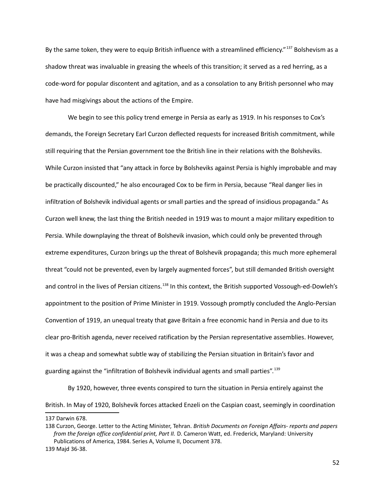By the same token, they were to equip British influence with a streamlined efficiency."<sup>[137](#page-51-0)</sup> Bolshevism as a shadow threat was invaluable in greasing the wheels of this transition; it served as a red herring, as a code-word for popular discontent and agitation, and as a consolation to any British personnel who may have had misgivings about the actions of the Empire.

We begin to see this policy trend emerge in Persia as early as 1919. In his responses to Cox's demands, the Foreign Secretary Earl Curzon deflected requests for increased British commitment, while still requiring that the Persian government toe the British line in their relations with the Bolsheviks. While Curzon insisted that "any attack in force by Bolsheviks against Persia is highly improbable and may be practically discounted," he also encouraged Cox to be firm in Persia, because "Real danger lies in infiltration of Bolshevik individual agents or small parties and the spread of insidious propaganda." As Curzon well knew, the last thing the British needed in 1919 was to mount a major military expedition to Persia. While downplaying the threat of Bolshevik invasion, which could only be prevented through extreme expenditures, Curzon brings up the threat of Bolshevik propaganda; this much more ephemeral threat "could not be prevented, even by largely augmented forces", but still demanded British oversight and control in the lives of Persian citizens.<sup>[138](#page-51-1)</sup> In this context, the British supported Vossough-ed-Dowleh's appointment to the position of Prime Minister in 1919. Vossough promptly concluded the Anglo-Persian Convention of 1919, an unequal treaty that gave Britain a free economic hand in Persia and due to its clear pro-British agenda, never received ratification by the Persian representative assemblies. However, it was a cheap and somewhat subtle way of stabilizing the Persian situation in Britain's favor and guarding against the "infiltration of Bolshevik individual agents and small parties".<sup>[139](#page-51-2)</sup>

By 1920, however, three events conspired to turn the situation in Persia entirely against the British. In May of 1920, Bolshevik forces attacked Enzeli on the Caspian coast, seemingly in coordination

<span id="page-51-0"></span><sup>137</sup> Darwin 678.

<span id="page-51-2"></span><span id="page-51-1"></span><sup>138</sup> Curzon, George. Letter to the Acting Minister, Tehran. *British Documents on Foreign Affairs- reports and papers from the foreign office confidential print, Part II.* D. Cameron Watt, ed. Frederick, Maryland: University Publications of America, 1984. Series A, Volume II, Document 378. 139 Majd 36-38.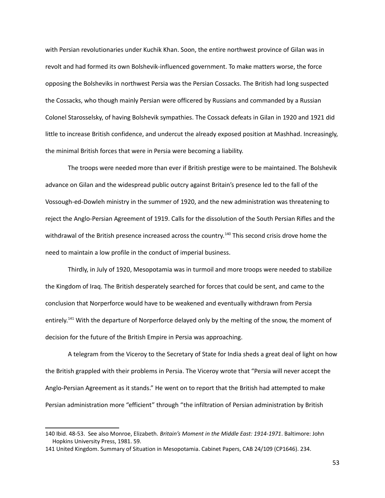with Persian revolutionaries under Kuchik Khan. Soon, the entire northwest province of Gilan was in revolt and had formed its own Bolshevik-influenced government. To make matters worse, the force opposing the Bolsheviks in northwest Persia was the Persian Cossacks. The British had long suspected the Cossacks, who though mainly Persian were officered by Russians and commanded by a Russian Colonel Starosselsky, of having Bolshevik sympathies. The Cossack defeats in Gilan in 1920 and 1921 did little to increase British confidence, and undercut the already exposed position at Mashhad. Increasingly, the minimal British forces that were in Persia were becoming a liability.

The troops were needed more than ever if British prestige were to be maintained. The Bolshevik advance on Gilan and the widespread public outcry against Britain's presence led to the fall of the Vossough-ed-Dowleh ministry in the summer of 1920, and the new administration was threatening to reject the Anglo-Persian Agreement of 1919. Calls for the dissolution of the South Persian Rifles and the withdrawal of the British presence increased across the country.<sup>[140](#page-52-0)</sup> This second crisis drove home the need to maintain a low profile in the conduct of imperial business.

Thirdly, in July of 1920, Mesopotamia was in turmoil and more troops were needed to stabilize the Kingdom of Iraq. The British desperately searched for forces that could be sent, and came to the conclusion that Norperforce would have to be weakened and eventually withdrawn from Persia entirely.<sup>[141](#page-52-1)</sup> With the departure of Norperforce delayed only by the melting of the snow, the moment of decision for the future of the British Empire in Persia was approaching.

A telegram from the Viceroy to the Secretary of State for India sheds a great deal of light on how the British grappled with their problems in Persia. The Viceroy wrote that "Persia will never accept the Anglo-Persian Agreement as it stands." He went on to report that the British had attempted to make Persian administration more "efficient" through "the infiltration of Persian administration by British

<span id="page-52-0"></span><sup>140</sup> Ibid. 48-53. See also Monroe, Elizabeth. *Britain's Moment in the Middle East: 1914-1971*. Baltimore: John Hopkins University Press, 1981. 59.

<span id="page-52-1"></span><sup>141</sup> United Kingdom. Summary of Situation in Mesopotamia. Cabinet Papers, CAB 24/109 (CP1646). 234.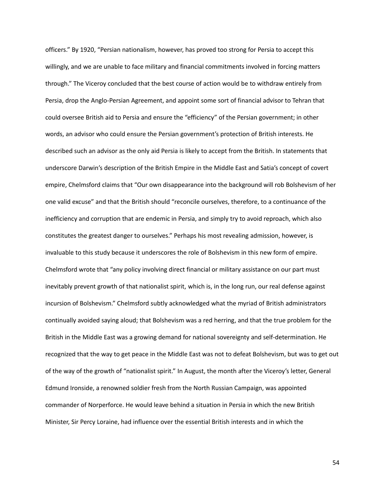officers." By 1920, "Persian nationalism, however, has proved too strong for Persia to accept this willingly, and we are unable to face military and financial commitments involved in forcing matters through." The Viceroy concluded that the best course of action would be to withdraw entirely from Persia, drop the Anglo-Persian Agreement, and appoint some sort of financial advisor to Tehran that could oversee British aid to Persia and ensure the "efficiency" of the Persian government; in other words, an advisor who could ensure the Persian government's protection of British interests. He described such an advisor as the only aid Persia is likely to accept from the British. In statements that underscore Darwin's description of the British Empire in the Middle East and Satia's concept of covert empire, Chelmsford claims that "Our own disappearance into the background will rob Bolshevism of her one valid excuse" and that the British should "reconcile ourselves, therefore, to a continuance of the inefficiency and corruption that are endemic in Persia, and simply try to avoid reproach, which also constitutes the greatest danger to ourselves." Perhaps his most revealing admission, however, is invaluable to this study because it underscores the role of Bolshevism in this new form of empire. Chelmsford wrote that "any policy involving direct financial or military assistance on our part must inevitably prevent growth of that nationalist spirit, which is, in the long run, our real defense against incursion of Bolshevism." Chelmsford subtly acknowledged what the myriad of British administrators continually avoided saying aloud; that Bolshevism was a red herring, and that the true problem for the British in the Middle East was a growing demand for national sovereignty and self-determination. He recognized that the way to get peace in the Middle East was not to defeat Bolshevism, but was to get out of the way of the growth of "nationalist spirit." In August, the month after the Viceroy's letter, General Edmund Ironside, a renowned soldier fresh from the North Russian Campaign, was appointed commander of Norperforce. He would leave behind a situation in Persia in which the new British Minister, Sir Percy Loraine, had influence over the essential British interests and in which the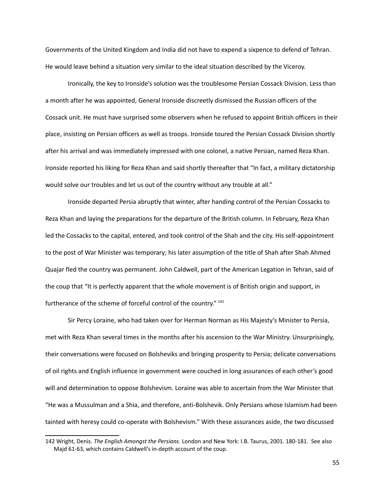Governments of the United Kingdom and India did not have to expend a sixpence to defend of Tehran. He would leave behind a situation very similar to the ideal situation described by the Viceroy.

Ironically, the key to Ironside's solution was the troublesome Persian Cossack Division. Less than a month after he was appointed, General Ironside discreetly dismissed the Russian officers of the Cossack unit. He must have surprised some observers when he refused to appoint British officers in their place, insisting on Persian officers as well as troops. Ironside toured the Persian Cossack Division shortly after his arrival and was immediately impressed with one colonel, a native Persian, named Reza Khan. Ironside reported his liking for Reza Khan and said shortly thereafter that "In fact, a military dictatorship would solve our troubles and let us out of the country without any trouble at all."

Ironside departed Persia abruptly that winter, after handing control of the Persian Cossacks to Reza Khan and laying the preparations for the departure of the British column. In February, Reza Khan led the Cossacks to the capital, entered, and took control of the Shah and the city. His self-appointment to the post of War Minister was temporary; his later assumption of the title of Shah after Shah Ahmed Quajar fled the country was permanent. John Caldwell, part of the American Legation in Tehran, said of the coup that "It is perfectly apparent that the whole movement is of British origin and support, in furtherance of the scheme of forceful control of the country." [142](#page-54-0)

Sir Percy Loraine, who had taken over for Herman Norman as His Majesty's Minister to Persia, met with Reza Khan several times in the months after his ascension to the War Ministry. Unsurprisingly, their conversations were focused on Bolsheviks and bringing prosperity to Persia; delicate conversations of oil rights and English influence in government were couched in long assurances of each other's good will and determination to oppose Bolshevism. Loraine was able to ascertain from the War Minister that "He was a Mussulman and a Shia, and therefore, anti-Bolshevik. Only Persians whose Islamism had been tainted with heresy could co-operate with Bolshevism." With these assurances aside, the two discussed

<span id="page-54-0"></span><sup>142</sup> Wright, Denis. *The English Amongst the Persians*. London and New York: I.B. Taurus, 2001. 180-181. See also Majd 61-63, which contains Caldwell's in-depth account of the coup.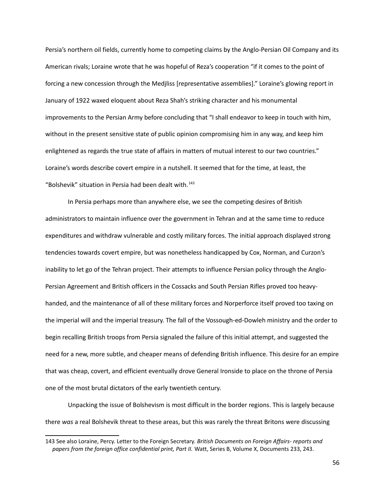Persia's northern oil fields, currently home to competing claims by the Anglo-Persian Oil Company and its American rivals; Loraine wrote that he was hopeful of Reza's cooperation "if it comes to the point of forcing a new concession through the Medjliss [representative assemblies]." Loraine's glowing report in January of 1922 waxed eloquent about Reza Shah's striking character and his monumental improvements to the Persian Army before concluding that "I shall endeavor to keep in touch with him, without in the present sensitive state of public opinion compromising him in any way, and keep him enlightened as regards the true state of affairs in matters of mutual interest to our two countries." Loraine's words describe covert empire in a nutshell. It seemed that for the time, at least, the "Bolshevik" situation in Persia had been dealt with. $143$ 

In Persia perhaps more than anywhere else, we see the competing desires of British administrators to maintain influence over the government in Tehran and at the same time to reduce expenditures and withdraw vulnerable and costly military forces. The initial approach displayed strong tendencies towards covert empire, but was nonetheless handicapped by Cox, Norman, and Curzon's inability to let go of the Tehran project. Their attempts to influence Persian policy through the Anglo-Persian Agreement and British officers in the Cossacks and South Persian Rifles proved too heavyhanded, and the maintenance of all of these military forces and Norperforce itself proved too taxing on the imperial will and the imperial treasury. The fall of the Vossough-ed-Dowleh ministry and the order to begin recalling British troops from Persia signaled the failure of this initial attempt, and suggested the need for a new, more subtle, and cheaper means of defending British influence. This desire for an empire that was cheap, covert, and efficient eventually drove General Ironside to place on the throne of Persia one of the most brutal dictators of the early twentieth century.

Unpacking the issue of Bolshevism is most difficult in the border regions. This is largely because there *was* a real Bolshevik threat to these areas, but this was rarely the threat Britons were discussing

<span id="page-55-0"></span><sup>143</sup> See also Loraine, Percy. Letter to the Foreign Secretary. *British Documents on Foreign Affairs- reports and papers from the foreign office confidential print, Part II.* Watt, Series B, Volume X, Documents 233, 243.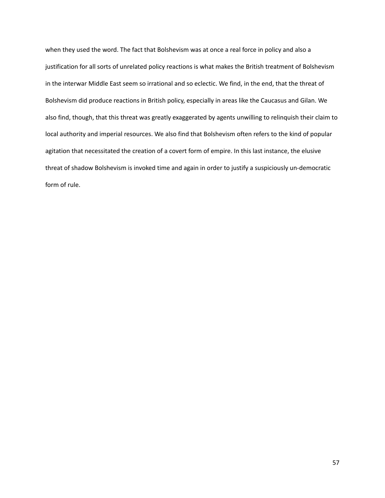when they used the word. The fact that Bolshevism was at once a real force in policy and also a justification for all sorts of unrelated policy reactions is what makes the British treatment of Bolshevism in the interwar Middle East seem so irrational and so eclectic. We find, in the end, that the threat of Bolshevism did produce reactions in British policy, especially in areas like the Caucasus and Gilan. We also find, though, that this threat was greatly exaggerated by agents unwilling to relinquish their claim to local authority and imperial resources. We also find that Bolshevism often refers to the kind of popular agitation that necessitated the creation of a covert form of empire. In this last instance, the elusive threat of shadow Bolshevism is invoked time and again in order to justify a suspiciously un-democratic form of rule.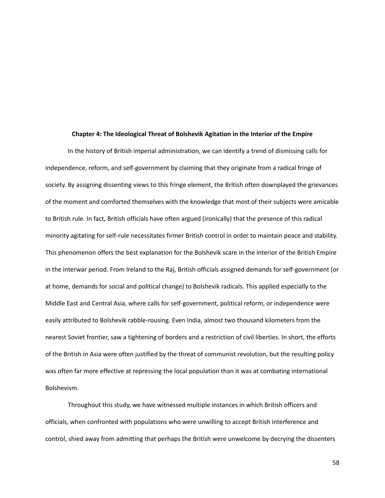#### **Chapter 4: The Ideological Threat of Bolshevik Agitation in the Interior of the Empire**

In the history of British imperial administration, we can identify a trend of dismissing calls for independence, reform, and self-government by claiming that they originate from a radical fringe of society. By assigning dissenting views to this fringe element, the British often downplayed the grievances of the moment and comforted themselves with the knowledge that most of their subjects were amicable to British rule. In fact, British officials have often argued (ironically) that the presence of this radical minority agitating for self-rule necessitates firmer British control in order to maintain peace and stability. This phenomenon offers the best explanation for the Bolshevik scare in the interior of the British Empire in the interwar period. From Ireland to the Raj, British officials assigned demands for self-government (or at home, demands for social and political change) to Bolshevik radicals. This applied especially to the Middle East and Central Asia, where calls for self-government, political reform, or independence were easily attributed to Bolshevik rabble-rousing. Even India, almost two thousand kilometers from the nearest Soviet frontier, saw a tightening of borders and a restriction of civil liberties. In short, the efforts of the British in Asia were often justified by the threat of communist revolution, but the resulting policy was often far more effective at repressing the local population than it was at combating international Bolshevism.

Throughout this study, we have witnessed multiple instances in which British officers and officials, when confronted with populations who were unwilling to accept British interference and control, shied away from admitting that perhaps the British were unwelcome by decrying the dissenters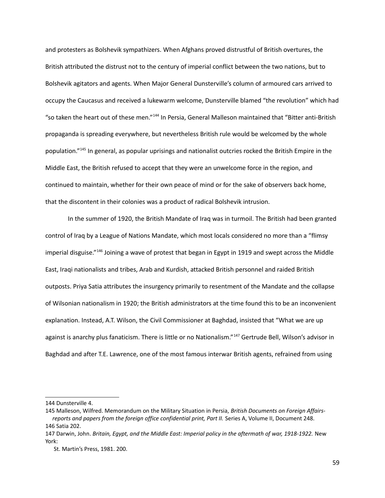and protesters as Bolshevik sympathizers. When Afghans proved distrustful of British overtures, the British attributed the distrust not to the century of imperial conflict between the two nations, but to Bolshevik agitators and agents. When Major General Dunsterville's column of armoured cars arrived to occupy the Caucasus and received a lukewarm welcome, Dunsterville blamed "the revolution" which had "so taken the heart out of these men."[144](#page-58-0) In Persia, General Malleson maintained that "Bitter anti-British propaganda is spreading everywhere, but nevertheless British rule would be welcomed by the whole population."[145](#page-58-1) In general, as popular uprisings and nationalist outcries rocked the British Empire in the Middle East, the British refused to accept that they were an unwelcome force in the region, and continued to maintain, whether for their own peace of mind or for the sake of observers back home, that the discontent in their colonies was a product of radical Bolshevik intrusion.

In the summer of 1920, the British Mandate of Iraq was in turmoil. The British had been granted control of Iraq by a League of Nations Mandate, which most locals considered no more than a "flimsy imperial disguise."[146](#page-58-2) Joining a wave of protest that began in Egypt in 1919 and swept across the Middle East, Iraqi nationalists and tribes, Arab and Kurdish, attacked British personnel and raided British outposts. Priya Satia attributes the insurgency primarily to resentment of the Mandate and the collapse of Wilsonian nationalism in 1920; the British administrators at the time found this to be an inconvenient explanation. Instead, A.T. Wilson, the Civil Commissioner at Baghdad, insisted that "What we are up against is anarchy plus fanaticism. There is little or no Nationalism."<sup>[147](#page-58-3)</sup> Gertrude Bell, Wilson's advisor in Baghdad and after T.E. Lawrence, one of the most famous interwar British agents, refrained from using

<span id="page-58-0"></span><sup>144</sup> Dunsterville 4.

<span id="page-58-1"></span><sup>145</sup> Malleson, Wilfred. Memorandum on the Military Situation in Persia, *British Documents on Foreign Affairs reports and papers from the foreign office confidential print, Part II.* Series A, Volume II, Document 248. 146 Satia 202.

<span id="page-58-3"></span><span id="page-58-2"></span><sup>147</sup> Darwin, John. *Britain, Egypt, and the Middle East: Imperial policy in the aftermath of war, 1918-1922.* New York:

St. Martin's Press, 1981. 200.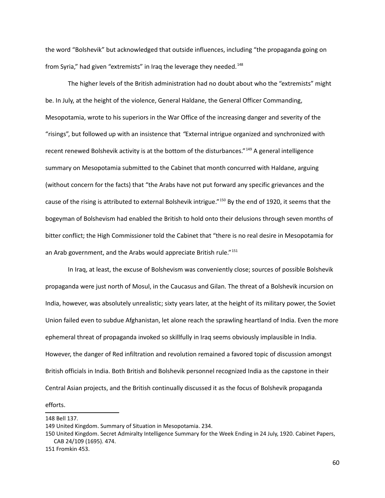the word "Bolshevik" but acknowledged that outside influences, including "the propaganda going on from Syria," had given "extremists" in Iraq the leverage they needed.<sup>[148](#page-59-0)</sup>

The higher levels of the British administration had no doubt about who the "extremists" might be. In July, at the height of the violence, General Haldane, the General Officer Commanding, Mesopotamia, wrote to his superiors in the War Office of the increasing danger and severity of the "risings", but followed up with an insistence that *"*External intrigue organized and synchronized with recent renewed Bolshevik activity is at the bottom of the disturbances."<sup>[149](#page-59-1)</sup> A general intelligence summary on Mesopotamia submitted to the Cabinet that month concurred with Haldane, arguing (without concern for the facts) that "the Arabs have not put forward any specific grievances and the cause of the rising is attributed to external Bolshevik intrigue."[150](#page-59-2) By the end of 1920, it seems that the bogeyman of Bolshevism had enabled the British to hold onto their delusions through seven months of bitter conflict; the High Commissioner told the Cabinet that "there is no real desire in Mesopotamia for an Arab government, and the Arabs would appreciate British rule."<sup>[151](#page-59-3)</sup>

In Iraq, at least, the excuse of Bolshevism was conveniently close; sources of possible Bolshevik propaganda were just north of Mosul, in the Caucasus and Gilan. The threat of a Bolshevik incursion on India, however, was absolutely unrealistic; sixty years later, at the height of its military power, the Soviet Union failed even to subdue Afghanistan, let alone reach the sprawling heartland of India. Even the more ephemeral threat of propaganda invoked so skillfully in Iraq seems obviously implausible in India. However, the danger of Red infiltration and revolution remained a favored topic of discussion amongst British officials in India. Both British and Bolshevik personnel recognized India as the capstone in their Central Asian projects, and the British continually discussed it as the focus of Bolshevik propaganda

efforts.

<span id="page-59-0"></span><sup>148</sup> Bell 137.

<span id="page-59-1"></span><sup>149</sup> United Kingdom. Summary of Situation in Mesopotamia. 234.

<span id="page-59-2"></span><sup>150</sup> United Kingdom. Secret Admiralty Intelligence Summary for the Week Ending in 24 July, 1920. Cabinet Papers, CAB 24/109 (1695). 474.

<span id="page-59-3"></span><sup>151</sup> Fromkin 453.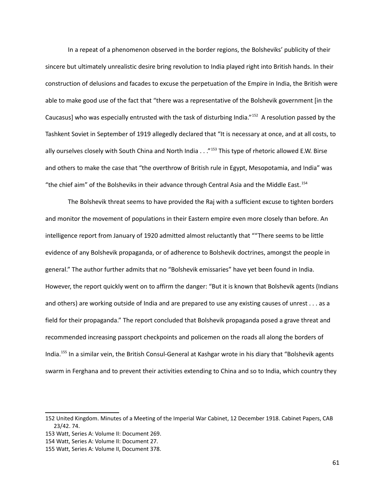In a repeat of a phenomenon observed in the border regions, the Bolsheviks' publicity of their sincere but ultimately unrealistic desire bring revolution to India played right into British hands. In their construction of delusions and facades to excuse the perpetuation of the Empire in India, the British were able to make good use of the fact that "there was a representative of the Bolshevik government [in the Caucasus] who was especially entrusted with the task of disturbing India."[152](#page-60-0) A resolution passed by the Tashkent Soviet in September of 1919 allegedly declared that "It is necessary at once, and at all costs, to ally ourselves closely with South China and North India . . ."<sup>[153](#page-60-1)</sup> This type of rhetoric allowed E.W. Birse and others to make the case that "the overthrow of British rule in Egypt, Mesopotamia, and India" was "the chief aim" of the Bolsheviks in their advance through Central Asia and the Middle East.<sup>[154](#page-60-2)</sup>

The Bolshevik threat seems to have provided the Raj with a sufficient excuse to tighten borders and monitor the movement of populations in their Eastern empire even more closely than before. An intelligence report from January of 1920 admitted almost reluctantly that ""There seems to be little evidence of any Bolshevik propaganda, or of adherence to Bolshevik doctrines, amongst the people in general." The author further admits that no "Bolshevik emissaries" have yet been found in India. However, the report quickly went on to affirm the danger: "But it is known that Bolshevik agents (Indians and others) are working outside of India and are prepared to use any existing causes of unrest . . . as a field for their propaganda." The report concluded that Bolshevik propaganda posed a grave threat and recommended increasing passport checkpoints and policemen on the roads all along the borders of India.[155](#page-60-3) In a similar vein, the British Consul-General at Kashgar wrote in his diary that "Bolshevik agents swarm in Ferghana and to prevent their activities extending to China and so to India, which country they

<span id="page-60-0"></span><sup>152</sup> United Kingdom. Minutes of a Meeting of the Imperial War Cabinet, 12 December 1918. Cabinet Papers, CAB 23/42. 74.

<span id="page-60-1"></span><sup>153</sup> Watt, Series A: Volume II: Document 269.

<span id="page-60-2"></span><sup>154</sup> Watt, Series A: Volume II: Document 27.

<span id="page-60-3"></span><sup>155</sup> Watt, Series A: Volume II, Document 378.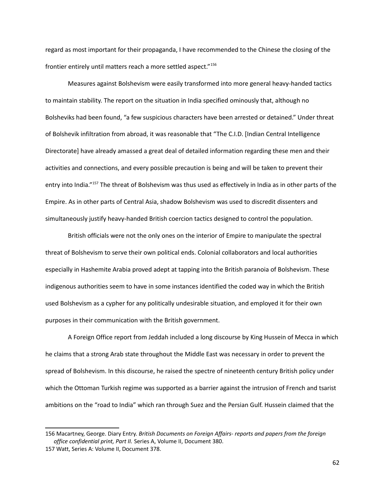regard as most important for their propaganda, I have recommended to the Chinese the closing of the frontier entirely until matters reach a more settled aspect."<sup>[156](#page-61-0)</sup>

Measures against Bolshevism were easily transformed into more general heavy-handed tactics to maintain stability. The report on the situation in India specified ominously that, although no Bolsheviks had been found, "a few suspicious characters have been arrested or detained." Under threat of Bolshevik infiltration from abroad, it was reasonable that "The C.I.D. [Indian Central Intelligence Directorate] have already amassed a great deal of detailed information regarding these men and their activities and connections, and every possible precaution is being and will be taken to prevent their entry into India."<sup>[157](#page-61-1)</sup> The threat of Bolshevism was thus used as effectively in India as in other parts of the Empire. As in other parts of Central Asia, shadow Bolshevism was used to discredit dissenters and simultaneously justify heavy-handed British coercion tactics designed to control the population.

British officials were not the only ones on the interior of Empire to manipulate the spectral threat of Bolshevism to serve their own political ends. Colonial collaborators and local authorities especially in Hashemite Arabia proved adept at tapping into the British paranoia of Bolshevism. These indigenous authorities seem to have in some instances identified the coded way in which the British used Bolshevism as a cypher for any politically undesirable situation, and employed it for their own purposes in their communication with the British government.

A Foreign Office report from Jeddah included a long discourse by King Hussein of Mecca in which he claims that a strong Arab state throughout the Middle East was necessary in order to prevent the spread of Bolshevism. In this discourse, he raised the spectre of nineteenth century British policy under which the Ottoman Turkish regime was supported as a barrier against the intrusion of French and tsarist ambitions on the "road to India" which ran through Suez and the Persian Gulf. Hussein claimed that the

<span id="page-61-0"></span><sup>156</sup> Macartney, George. Diary Entry. *British Documents on Foreign Affairs- reports and papers from the foreign office confidential print, Part II.* Series A, Volume II, Document 380.

<span id="page-61-1"></span><sup>157</sup> Watt, Series A: Volume II, Document 378.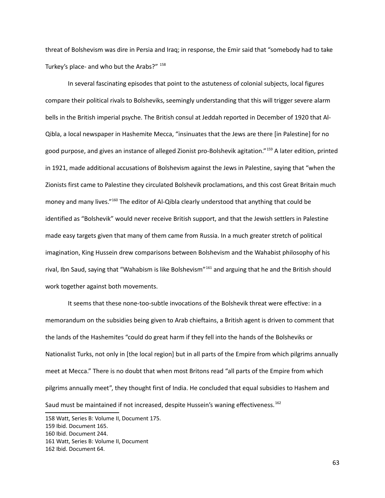threat of Bolshevism was dire in Persia and Iraq; in response, the Emir said that "somebody had to take Turkey's place- and who but the Arabs?" [158](#page-62-0)

In several fascinating episodes that point to the astuteness of colonial subjects, local figures compare their political rivals to Bolsheviks, seemingly understanding that this will trigger severe alarm bells in the British imperial psyche. The British consul at Jeddah reported in December of 1920 that Al-Qibla, a local newspaper in Hashemite Mecca, "insinuates that the Jews are there [in Palestine] for no good purpose, and gives an instance of alleged Zionist pro-Bolshevik agitation."[159](#page-62-1) A later edition, printed in 1921, made additional accusations of Bolshevism against the Jews in Palestine, saying that "when the Zionists first came to Palestine they circulated Bolshevik proclamations, and this cost Great Britain much money and many lives."<sup>[160](#page-62-2)</sup> The editor of Al-Qibla clearly understood that anything that could be identified as "Bolshevik" would never receive British support, and that the Jewish settlers in Palestine made easy targets given that many of them came from Russia. In a much greater stretch of political imagination, King Hussein drew comparisons between Bolshevism and the Wahabist philosophy of his rival, Ibn Saud, saying that "Wahabism is like Bolshevism"<sup>[161](#page-62-3)</sup> and arguing that he and the British should work together against both movements.

It seems that these none-too-subtle invocations of the Bolshevik threat were effective: in a memorandum on the subsidies being given to Arab chieftains, a British agent is driven to comment that the lands of the Hashemites "could do great harm if they fell into the hands of the Bolsheviks or Nationalist Turks, not only in [the local region] but in all parts of the Empire from which pilgrims annually meet at Mecca." There is no doubt that when most Britons read "all parts of the Empire from which pilgrims annually meet", they thought first of India. He concluded that equal subsidies to Hashem and Saud must be maintained if not increased, despite Hussein's waning effectiveness.<sup>[162](#page-62-4)</sup>

<span id="page-62-0"></span><sup>158</sup> Watt, Series B: Volume II, Document 175.

<span id="page-62-1"></span><sup>159</sup> Ibid. Document 165.

<span id="page-62-2"></span><sup>160</sup> Ibid. Document 244.

<span id="page-62-3"></span><sup>161</sup> Watt, Series B: Volume II, Document

<span id="page-62-4"></span><sup>162</sup> Ibid. Document 64.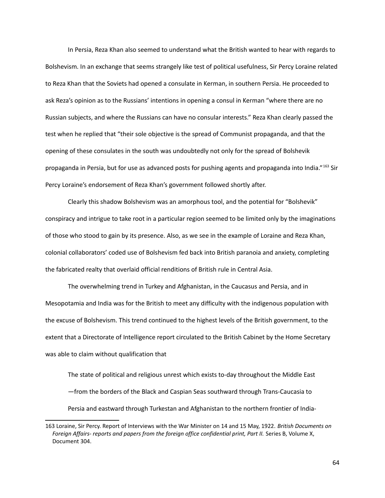In Persia, Reza Khan also seemed to understand what the British wanted to hear with regards to Bolshevism. In an exchange that seems strangely like test of political usefulness, Sir Percy Loraine related to Reza Khan that the Soviets had opened a consulate in Kerman, in southern Persia. He proceeded to ask Reza's opinion as to the Russians' intentions in opening a consul in Kerman "where there are no Russian subjects, and where the Russians can have no consular interests." Reza Khan clearly passed the test when he replied that "their sole objective is the spread of Communist propaganda, and that the opening of these consulates in the south was undoubtedly not only for the spread of Bolshevik propaganda in Persia, but for use as advanced posts for pushing agents and propaganda into India."[163](#page-63-0) Sir Percy Loraine's endorsement of Reza Khan's government followed shortly after.

Clearly this shadow Bolshevism was an amorphous tool, and the potential for "Bolshevik" conspiracy and intrigue to take root in a particular region seemed to be limited only by the imaginations of those who stood to gain by its presence. Also, as we see in the example of Loraine and Reza Khan, colonial collaborators' coded use of Bolshevism fed back into British paranoia and anxiety, completing the fabricated realty that overlaid official renditions of British rule in Central Asia.

The overwhelming trend in Turkey and Afghanistan, in the Caucasus and Persia, and in Mesopotamia and India was for the British to meet any difficulty with the indigenous population with the excuse of Bolshevism. This trend continued to the highest levels of the British government, to the extent that a Directorate of Intelligence report circulated to the British Cabinet by the Home Secretary was able to claim without qualification that

The state of political and religious unrest which exists to-day throughout the Middle East —from the borders of the Black and Caspian Seas southward through Trans-Caucasia to Persia and eastward through Turkestan and Afghanistan to the northern frontier of India-

<span id="page-63-0"></span><sup>163</sup> Loraine, Sir Percy. Report of Interviews with the War Minister on 14 and 15 May, 1922. *British Documents on Foreign Affairs- reports and papers from the foreign office confidential print, Part II.* Series B, Volume X, Document 304.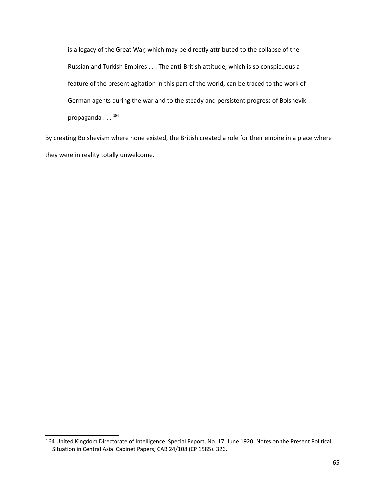is a legacy of the Great War, which may be directly attributed to the collapse of the Russian and Turkish Empires . . . The anti-British attitude, which is so conspicuous a feature of the present agitation in this part of the world, can be traced to the work of German agents during the war and to the steady and persistent progress of Bolshevik propaganda . . . [164](#page-64-0)

By creating Bolshevism where none existed, the British created a role for their empire in a place where they were in reality totally unwelcome.

<span id="page-64-0"></span><sup>164</sup> United Kingdom Directorate of Intelligence. Special Report, No. 17, June 1920: Notes on the Present Political Situation in Central Asia. Cabinet Papers, CAB 24/108 (CP 1585). 326.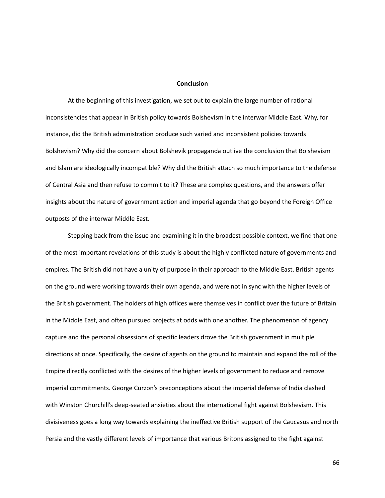## **Conclusion**

At the beginning of this investigation, we set out to explain the large number of rational inconsistencies that appear in British policy towards Bolshevism in the interwar Middle East. Why, for instance, did the British administration produce such varied and inconsistent policies towards Bolshevism? Why did the concern about Bolshevik propaganda outlive the conclusion that Bolshevism and Islam are ideologically incompatible? Why did the British attach so much importance to the defense of Central Asia and then refuse to commit to it? These are complex questions, and the answers offer insights about the nature of government action and imperial agenda that go beyond the Foreign Office outposts of the interwar Middle East.

Stepping back from the issue and examining it in the broadest possible context, we find that one of the most important revelations of this study is about the highly conflicted nature of governments and empires. The British did not have a unity of purpose in their approach to the Middle East. British agents on the ground were working towards their own agenda, and were not in sync with the higher levels of the British government. The holders of high offices were themselves in conflict over the future of Britain in the Middle East, and often pursued projects at odds with one another. The phenomenon of agency capture and the personal obsessions of specific leaders drove the British government in multiple directions at once. Specifically, the desire of agents on the ground to maintain and expand the roll of the Empire directly conflicted with the desires of the higher levels of government to reduce and remove imperial commitments. George Curzon's preconceptions about the imperial defense of India clashed with Winston Churchill's deep-seated anxieties about the international fight against Bolshevism. This divisiveness goes a long way towards explaining the ineffective British support of the Caucasus and north Persia and the vastly different levels of importance that various Britons assigned to the fight against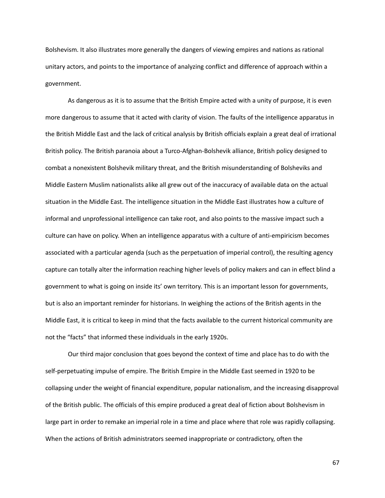Bolshevism. It also illustrates more generally the dangers of viewing empires and nations as rational unitary actors, and points to the importance of analyzing conflict and difference of approach within a government.

As dangerous as it is to assume that the British Empire acted with a unity of purpose, it is even more dangerous to assume that it acted with clarity of vision. The faults of the intelligence apparatus in the British Middle East and the lack of critical analysis by British officials explain a great deal of irrational British policy. The British paranoia about a Turco-Afghan-Bolshevik alliance, British policy designed to combat a nonexistent Bolshevik military threat, and the British misunderstanding of Bolsheviks and Middle Eastern Muslim nationalists alike all grew out of the inaccuracy of available data on the actual situation in the Middle East. The intelligence situation in the Middle East illustrates how a culture of informal and unprofessional intelligence can take root, and also points to the massive impact such a culture can have on policy. When an intelligence apparatus with a culture of anti-empiricism becomes associated with a particular agenda (such as the perpetuation of imperial control), the resulting agency capture can totally alter the information reaching higher levels of policy makers and can in effect blind a government to what is going on inside its' own territory. This is an important lesson for governments, but is also an important reminder for historians. In weighing the actions of the British agents in the Middle East, it is critical to keep in mind that the facts available to the current historical community are not the "facts" that informed these individuals in the early 1920s.

Our third major conclusion that goes beyond the context of time and place has to do with the self-perpetuating impulse of empire. The British Empire in the Middle East seemed in 1920 to be collapsing under the weight of financial expenditure, popular nationalism, and the increasing disapproval of the British public. The officials of this empire produced a great deal of fiction about Bolshevism in large part in order to remake an imperial role in a time and place where that role was rapidly collapsing. When the actions of British administrators seemed inappropriate or contradictory, often the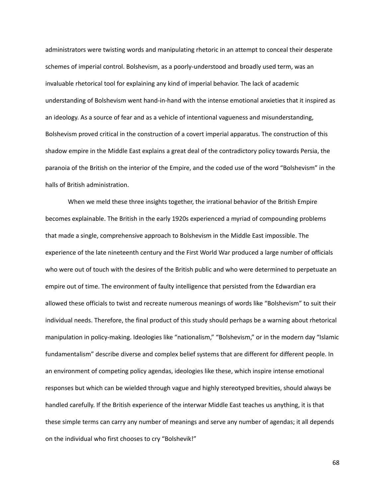administrators were twisting words and manipulating rhetoric in an attempt to conceal their desperate schemes of imperial control. Bolshevism, as a poorly-understood and broadly used term, was an invaluable rhetorical tool for explaining any kind of imperial behavior. The lack of academic understanding of Bolshevism went hand-in-hand with the intense emotional anxieties that it inspired as an ideology. As a source of fear and as a vehicle of intentional vagueness and misunderstanding, Bolshevism proved critical in the construction of a covert imperial apparatus. The construction of this shadow empire in the Middle East explains a great deal of the contradictory policy towards Persia, the paranoia of the British on the interior of the Empire, and the coded use of the word "Bolshevism" in the halls of British administration.

When we meld these three insights together, the irrational behavior of the British Empire becomes explainable. The British in the early 1920s experienced a myriad of compounding problems that made a single, comprehensive approach to Bolshevism in the Middle East impossible. The experience of the late nineteenth century and the First World War produced a large number of officials who were out of touch with the desires of the British public and who were determined to perpetuate an empire out of time. The environment of faulty intelligence that persisted from the Edwardian era allowed these officials to twist and recreate numerous meanings of words like "Bolshevism" to suit their individual needs. Therefore, the final product of this study should perhaps be a warning about rhetorical manipulation in policy-making. Ideologies like "nationalism," "Bolshevism," or in the modern day "Islamic fundamentalism" describe diverse and complex belief systems that are different for different people. In an environment of competing policy agendas, ideologies like these, which inspire intense emotional responses but which can be wielded through vague and highly stereotyped brevities, should always be handled carefully. If the British experience of the interwar Middle East teaches us anything, it is that these simple terms can carry any number of meanings and serve any number of agendas; it all depends on the individual who first chooses to cry "Bolshevik!"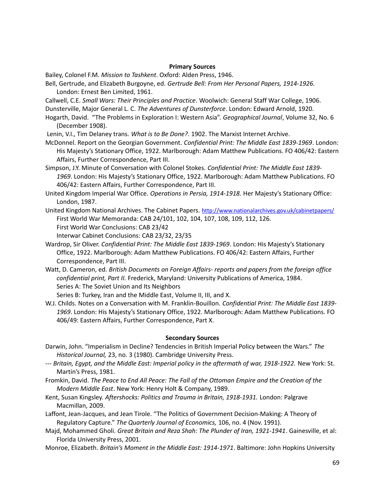# **Primary Sources**

Bailey, Colonel F.M. *Mission to Tashkent*. Oxford: Alden Press, 1946.

Bell, Gertrude, and Elizabeth Burgoyne, ed. *Gertrude Bell: From Her Personal Papers, 1914-1926.* London: Ernest Ben Limited, 1961.

Callwell, C.E. *Small Wars: Their Principles and Practice*. Woolwich: General Staff War College, 1906.

Dunsterville, Major General L. C. *The Adventures of Dunsterforce*. London: Edward Arnold, 1920.

- Hogarth, David. "The Problems in Exploration I: Western Asia". *Geographical Journal*, Volume 32, No. 6 (December 1908).
- Lenin, V.I., Tim Delaney trans. *What is to Be Done?*. 1902. The Marxist Internet Archive.
- McDonnel. Report on the Georgian Government. *Confidential Print: The Middle East 1839-1969*. London: His Majesty's Stationary Office, 1922. Marlborough: Adam Matthew Publications. FO 406/42: Eastern Affairs, Further Correspondence, Part III.
- Simpson, J.Y. Minute of Conversation with Colonel Stokes. *Confidential Print: The Middle East 1839- 1969*. London: His Majesty's Stationary Office, 1922. Marlborough: Adam Matthew Publications. FO 406/42: Eastern Affairs, Further Correspondence, Part III.
- United Kingdom Imperial War Office. *Operations in Persia, 1914-1918.* Her Majesty's Stationary Office: London, 1987.
- United Kingdom National Archives. The Cabinet Papers. <http://www.nationalarchives.gov.uk/cabinetpapers/> First World War Memoranda: CAB 24/101, 102, 104, 107, 108, 109, 112, 126. First World War Conclusions: CAB 23/42

Interwar Cabinet Conclusions: CAB 23/32, 23/35

- Wardrop, Sir Oliver. *Confidential Print: The Middle East 1839-1969*. London: His Majesty's Stationary Office, 1922. Marlborough: Adam Matthew Publications. FO 406/42: Eastern Affairs, Further Correspondence, Part III.
- Watt, D. Cameron, ed. *British Documents on Foreign Affairs- reports and papers from the foreign office confidential print, Part II.* Frederick, Maryland: University Publications of America, 1984. Series A: The Soviet Union and Its Neighbors

Series B: Turkey, Iran and the Middle East, Volume II, III, and X.

W.J. Childs. Notes on a Conversation with M. Franklin-Bouillon. *Confidential Print: The Middle East 1839- 1969*. London: His Majesty's Stationary Office, 1922. Marlborough: Adam Matthew Publications. FO 406/49: Eastern Affairs, Further Correspondence, Part X.

# **Secondary Sources**

- Darwin, John. "Imperialism in Decline? Tendencies in British Imperial Policy between the Wars." *The Historical Journal,* 23, no. 3 (1980). Cambridge University Press.
- --- *Britain, Egypt, and the Middle East: Imperial policy in the aftermath of war, 1918-1922.* New York: St. Martin's Press, 1981.
- Fromkin, David. *The Peace to End All Peace: The Fall of the Ottoman Empire and the Creation of the Modern Middle East*. New York: Henry Holt & Company, 1989.
- Kent, Susan Kingsley. *Aftershocks: Politics and Trauma in Britain, 1918-1931.* London: Palgrave Macmillan, 2009.
- Laffont, Jean-Jacques, and Jean Tirole. "The Politics of Government Decision-Making: A Theory of Regulatory Capture." *The Quarterly Journal of Economics,* 106, no. 4 (Nov. 1991).
- Majd, Mohammed Gholi. *Great Britain and Reza Shah: The Plunder of Iran, 1921-1941*. Gainesville, et al: Florida University Press, 2001.
- Monroe, Elizabeth. *Britain's Moment in the Middle East: 1914-1971*. Baltimore: John Hopkins University